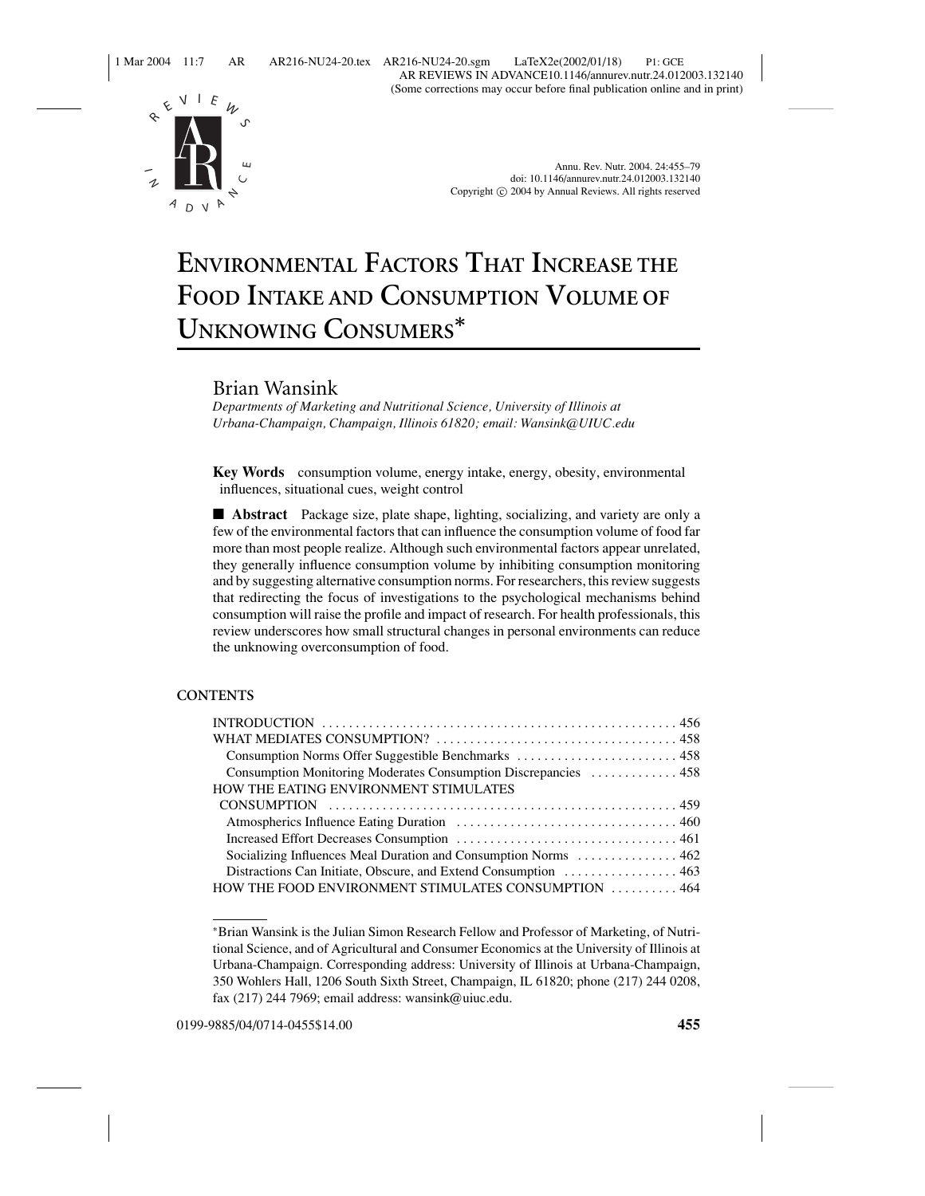1 Mar 2004 11:7 AR AR216-NU24-20.tex AR216-NU24-20.sgm LaTeX2e(2002/01/18) P1: GCE AR REVIEWS IN ADVANCE10.1146/annurev.nutr.24.012003.132140 (Some corrections may occur before final publication online and in print)



Annu. Rev. Nutr. 2004. 24:455–79 doi: 10.1146/annurev.nutr.24.012003.132140 Copyright  $\odot$  2004 by Annual Reviews. All rights reserved

# **ENVIRONMENTAL FACTORS THAT INCREASE THE FOOD INTAKE AND CONSUMPTION VOLUME OF UNKNOWING CONSUMERS***<sup>∗</sup>*

# Brian Wansink

*Departments of Marketing and Nutritional Science, University of Illinois at Urbana-Champaign, Champaign, Illinois 61820; email: Wansink@UIUC.edu*

**Key Words** consumption volume, energy intake, energy, obesity, environmental influences, situational cues, weight control

■ **Abstract** Package size, plate shape, lighting, socializing, and variety are only a few of the environmental factors that can influence the consumption volume of food far more than most people realize. Although such environmental factors appear unrelated, they generally influence consumption volume by inhibiting consumption monitoring and by suggesting alternative consumption norms. For researchers, this review suggests that redirecting the focus of investigations to the psychological mechanisms behind consumption will raise the profile and impact of research. For health professionals, this review underscores how small structural changes in personal environments can reduce the unknowing overconsumption of food.

# **CONTENTS**

| Consumption Norms Offer Suggestible Benchmarks  458             |
|-----------------------------------------------------------------|
| Consumption Monitoring Moderates Consumption Discrepancies  458 |
| HOW THE EATING ENVIRONMENT STIMULATES                           |
|                                                                 |
|                                                                 |
|                                                                 |
| Socializing Influences Meal Duration and Consumption Norms  462 |
| Distractions Can Initiate, Obscure, and Extend Consumption  463 |
| HOW THE FOOD ENVIRONMENT STIMULATES CONSUMPTION  464            |

0199-9885/04/0714-0455\$14.00 **455**

<sup>∗</sup>Brian Wansink is the Julian Simon Research Fellow and Professor of Marketing, of Nutritional Science, and of Agricultural and Consumer Economics at the University of Illinois at Urbana-Champaign. Corresponding address: University of Illinois at Urbana-Champaign, 350 Wohlers Hall, 1206 South Sixth Street, Champaign, IL 61820; phone (217) 244 0208, fax (217) 244 7969; email address: wansink@uiuc.edu.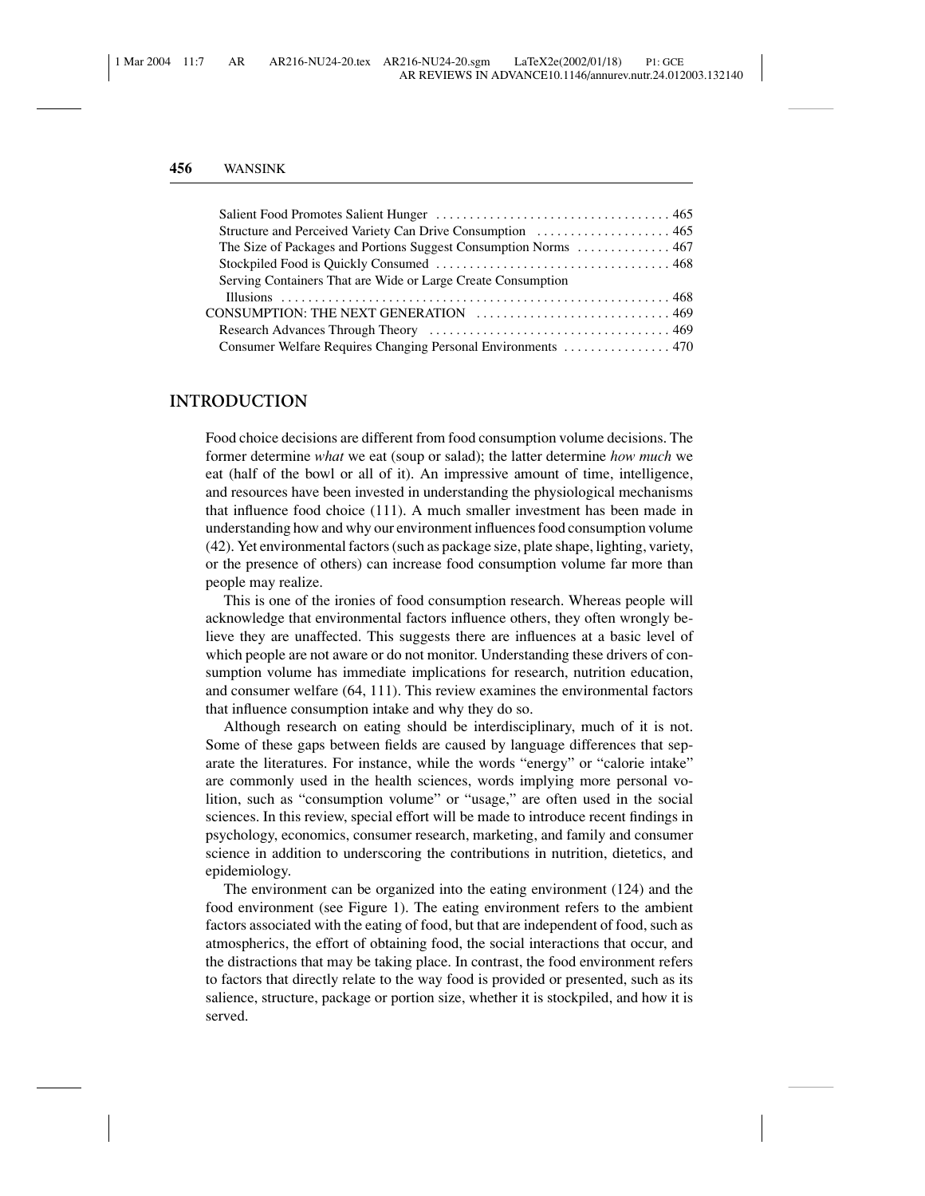| Structure and Perceived Variety Can Drive Consumption  465   |  |
|--------------------------------------------------------------|--|
|                                                              |  |
|                                                              |  |
| Serving Containers That are Wide or Large Create Consumption |  |
|                                                              |  |
|                                                              |  |
|                                                              |  |
|                                                              |  |
|                                                              |  |

## **INTRODUCTION**

Food choice decisions are different from food consumption volume decisions. The former determine *what* we eat (soup or salad); the latter determine *how much* we eat (half of the bowl or all of it). An impressive amount of time, intelligence, and resources have been invested in understanding the physiological mechanisms that influence food choice (111). A much smaller investment has been made in understanding how and why our environment influences food consumption volume (42). Yet environmental factors (such as package size, plate shape, lighting, variety, or the presence of others) can increase food consumption volume far more than people may realize.

This is one of the ironies of food consumption research. Whereas people will acknowledge that environmental factors influence others, they often wrongly believe they are unaffected. This suggests there are influences at a basic level of which people are not aware or do not monitor. Understanding these drivers of consumption volume has immediate implications for research, nutrition education, and consumer welfare (64, 111). This review examines the environmental factors that influence consumption intake and why they do so.

Although research on eating should be interdisciplinary, much of it is not. Some of these gaps between fields are caused by language differences that separate the literatures. For instance, while the words "energy" or "calorie intake" are commonly used in the health sciences, words implying more personal volition, such as "consumption volume" or "usage," are often used in the social sciences. In this review, special effort will be made to introduce recent findings in psychology, economics, consumer research, marketing, and family and consumer science in addition to underscoring the contributions in nutrition, dietetics, and epidemiology.

The environment can be organized into the eating environment (124) and the food environment (see Figure 1). The eating environment refers to the ambient factors associated with the eating of food, but that are independent of food, such as atmospherics, the effort of obtaining food, the social interactions that occur, and the distractions that may be taking place. In contrast, the food environment refers to factors that directly relate to the way food is provided or presented, such as its salience, structure, package or portion size, whether it is stockpiled, and how it is served.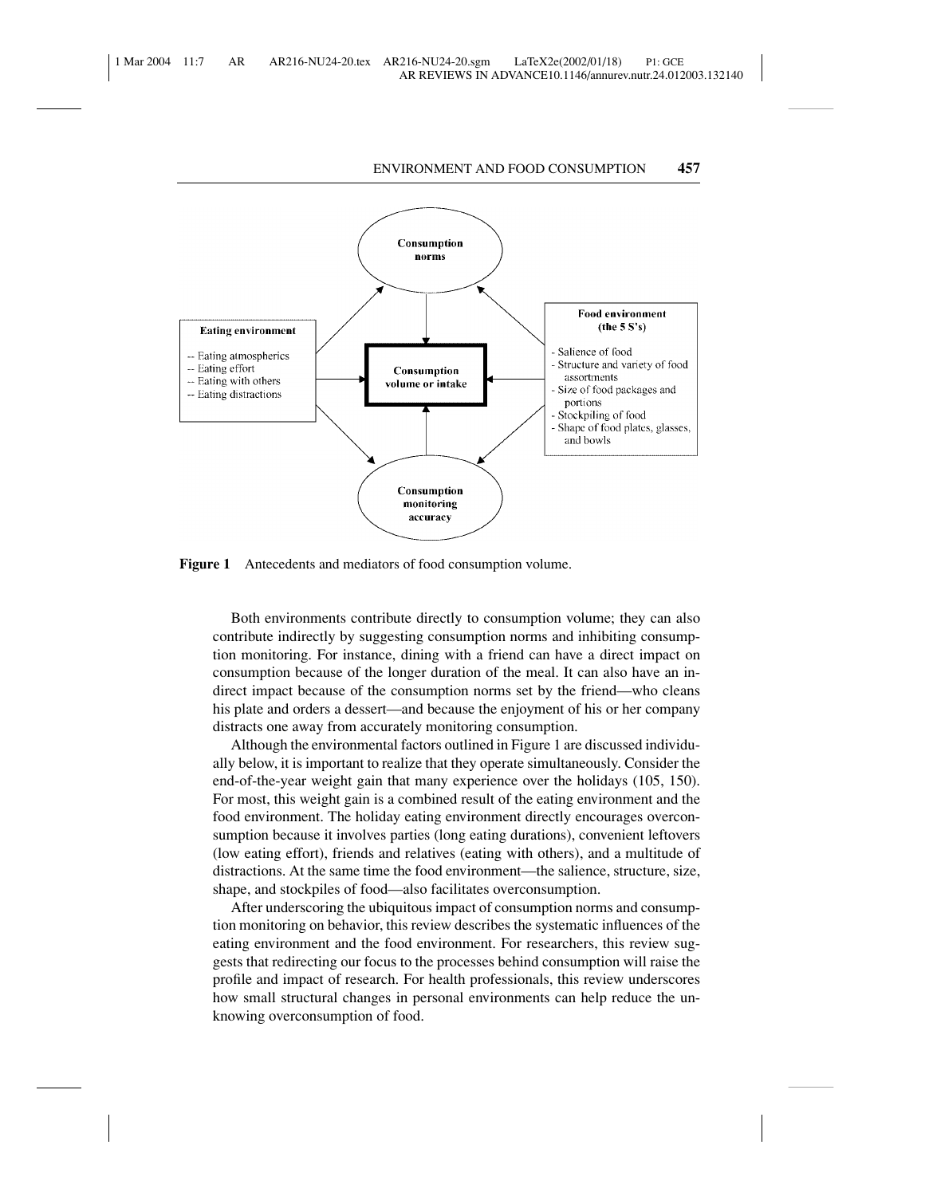

**Figure 1** Antecedents and mediators of food consumption volume.

Both environments contribute directly to consumption volume; they can also contribute indirectly by suggesting consumption norms and inhibiting consumption monitoring. For instance, dining with a friend can have a direct impact on consumption because of the longer duration of the meal. It can also have an indirect impact because of the consumption norms set by the friend—who cleans his plate and orders a dessert—and because the enjoyment of his or her company distracts one away from accurately monitoring consumption.

Although the environmental factors outlined in Figure 1 are discussed individually below, it is important to realize that they operate simultaneously. Consider the end-of-the-year weight gain that many experience over the holidays (105, 150). For most, this weight gain is a combined result of the eating environment and the food environment. The holiday eating environment directly encourages overconsumption because it involves parties (long eating durations), convenient leftovers (low eating effort), friends and relatives (eating with others), and a multitude of distractions. At the same time the food environment—the salience, structure, size, shape, and stockpiles of food—also facilitates overconsumption.

After underscoring the ubiquitous impact of consumption norms and consumption monitoring on behavior, this review describes the systematic influences of the eating environment and the food environment. For researchers, this review suggests that redirecting our focus to the processes behind consumption will raise the profile and impact of research. For health professionals, this review underscores how small structural changes in personal environments can help reduce the unknowing overconsumption of food.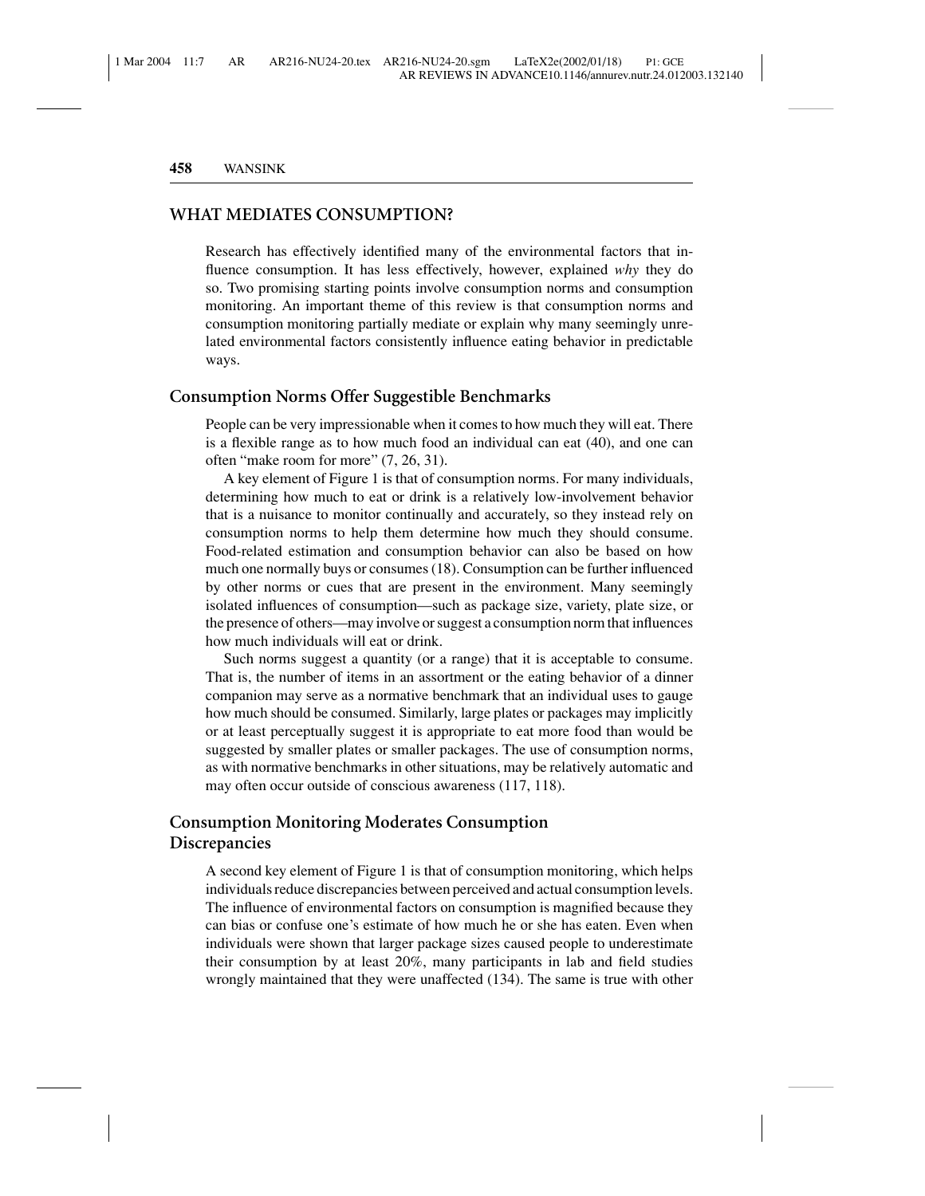# **WHAT MEDIATES CONSUMPTION?**

Research has effectively identified many of the environmental factors that influence consumption. It has less effectively, however, explained *why* they do so. Two promising starting points involve consumption norms and consumption monitoring. An important theme of this review is that consumption norms and consumption monitoring partially mediate or explain why many seemingly unrelated environmental factors consistently influence eating behavior in predictable ways.

# **Consumption Norms Offer Suggestible Benchmarks**

People can be very impressionable when it comes to how much they will eat. There is a flexible range as to how much food an individual can eat (40), and one can often "make room for more" (7, 26, 31).

A key element of Figure 1 is that of consumption norms. For many individuals, determining how much to eat or drink is a relatively low-involvement behavior that is a nuisance to monitor continually and accurately, so they instead rely on consumption norms to help them determine how much they should consume. Food-related estimation and consumption behavior can also be based on how much one normally buys or consumes (18). Consumption can be further influenced by other norms or cues that are present in the environment. Many seemingly isolated influences of consumption—such as package size, variety, plate size, or the presence of others—may involve or suggest a consumption norm that influences how much individuals will eat or drink.

Such norms suggest a quantity (or a range) that it is acceptable to consume. That is, the number of items in an assortment or the eating behavior of a dinner companion may serve as a normative benchmark that an individual uses to gauge how much should be consumed. Similarly, large plates or packages may implicitly or at least perceptually suggest it is appropriate to eat more food than would be suggested by smaller plates or smaller packages. The use of consumption norms, as with normative benchmarks in other situations, may be relatively automatic and may often occur outside of conscious awareness (117, 118).

# **Consumption Monitoring Moderates Consumption Discrepancies**

A second key element of Figure 1 is that of consumption monitoring, which helps individuals reduce discrepancies between perceived and actual consumption levels. The influence of environmental factors on consumption is magnified because they can bias or confuse one's estimate of how much he or she has eaten. Even when individuals were shown that larger package sizes caused people to underestimate their consumption by at least 20%, many participants in lab and field studies wrongly maintained that they were unaffected (134). The same is true with other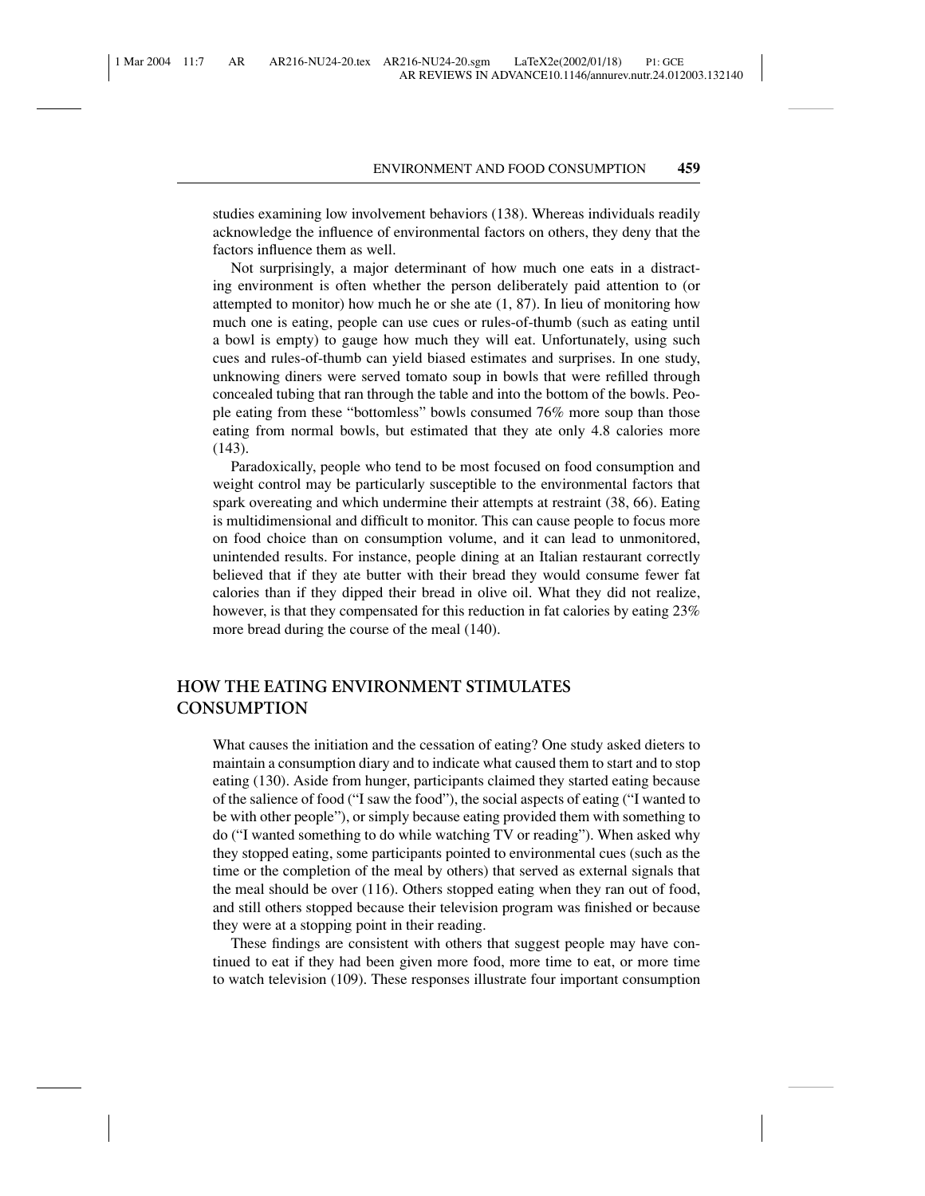studies examining low involvement behaviors (138). Whereas individuals readily acknowledge the influence of environmental factors on others, they deny that the factors influence them as well.

Not surprisingly, a major determinant of how much one eats in a distracting environment is often whether the person deliberately paid attention to (or attempted to monitor) how much he or she ate  $(1, 87)$ . In lieu of monitoring how much one is eating, people can use cues or rules-of-thumb (such as eating until a bowl is empty) to gauge how much they will eat. Unfortunately, using such cues and rules-of-thumb can yield biased estimates and surprises. In one study, unknowing diners were served tomato soup in bowls that were refilled through concealed tubing that ran through the table and into the bottom of the bowls. People eating from these "bottomless" bowls consumed 76% more soup than those eating from normal bowls, but estimated that they ate only 4.8 calories more (143).

Paradoxically, people who tend to be most focused on food consumption and weight control may be particularly susceptible to the environmental factors that spark overeating and which undermine their attempts at restraint (38, 66). Eating is multidimensional and difficult to monitor. This can cause people to focus more on food choice than on consumption volume, and it can lead to unmonitored, unintended results. For instance, people dining at an Italian restaurant correctly believed that if they ate butter with their bread they would consume fewer fat calories than if they dipped their bread in olive oil. What they did not realize, however, is that they compensated for this reduction in fat calories by eating 23% more bread during the course of the meal (140).

# **HOW THE EATING ENVIRONMENT STIMULATES CONSUMPTION**

What causes the initiation and the cessation of eating? One study asked dieters to maintain a consumption diary and to indicate what caused them to start and to stop eating (130). Aside from hunger, participants claimed they started eating because of the salience of food ("I saw the food"), the social aspects of eating ("I wanted to be with other people"), or simply because eating provided them with something to do ("I wanted something to do while watching TV or reading"). When asked why they stopped eating, some participants pointed to environmental cues (such as the time or the completion of the meal by others) that served as external signals that the meal should be over (116). Others stopped eating when they ran out of food, and still others stopped because their television program was finished or because they were at a stopping point in their reading.

These findings are consistent with others that suggest people may have continued to eat if they had been given more food, more time to eat, or more time to watch television (109). These responses illustrate four important consumption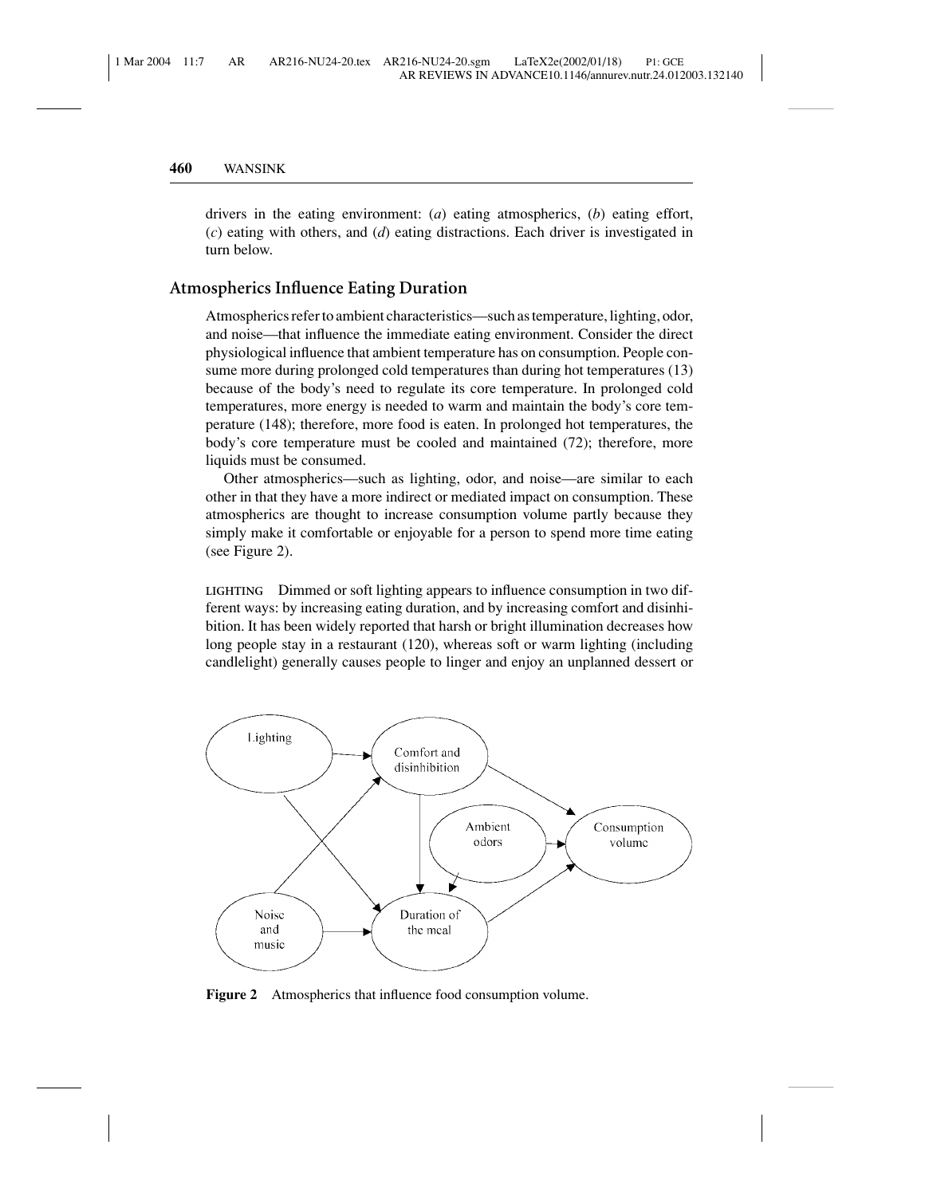drivers in the eating environment: (*a*) eating atmospherics, (*b*) eating effort, (*c*) eating with others, and (*d*) eating distractions. Each driver is investigated in turn below.

# **Atmospherics Influence Eating Duration**

Atmospherics refer to ambient characteristics—such as temperature, lighting, odor, and noise—that influence the immediate eating environment. Consider the direct physiological influence that ambient temperature has on consumption. People consume more during prolonged cold temperatures than during hot temperatures (13) because of the body's need to regulate its core temperature. In prolonged cold temperatures, more energy is needed to warm and maintain the body's core temperature (148); therefore, more food is eaten. In prolonged hot temperatures, the body's core temperature must be cooled and maintained (72); therefore, more liquids must be consumed.

Other atmospherics—such as lighting, odor, and noise—are similar to each other in that they have a more indirect or mediated impact on consumption. These atmospherics are thought to increase consumption volume partly because they simply make it comfortable or enjoyable for a person to spend more time eating (see Figure 2).

**LIGHTING** Dimmed or soft lighting appears to influence consumption in two different ways: by increasing eating duration, and by increasing comfort and disinhibition. It has been widely reported that harsh or bright illumination decreases how long people stay in a restaurant (120), whereas soft or warm lighting (including candlelight) generally causes people to linger and enjoy an unplanned dessert or



**Figure 2** Atmospherics that influence food consumption volume.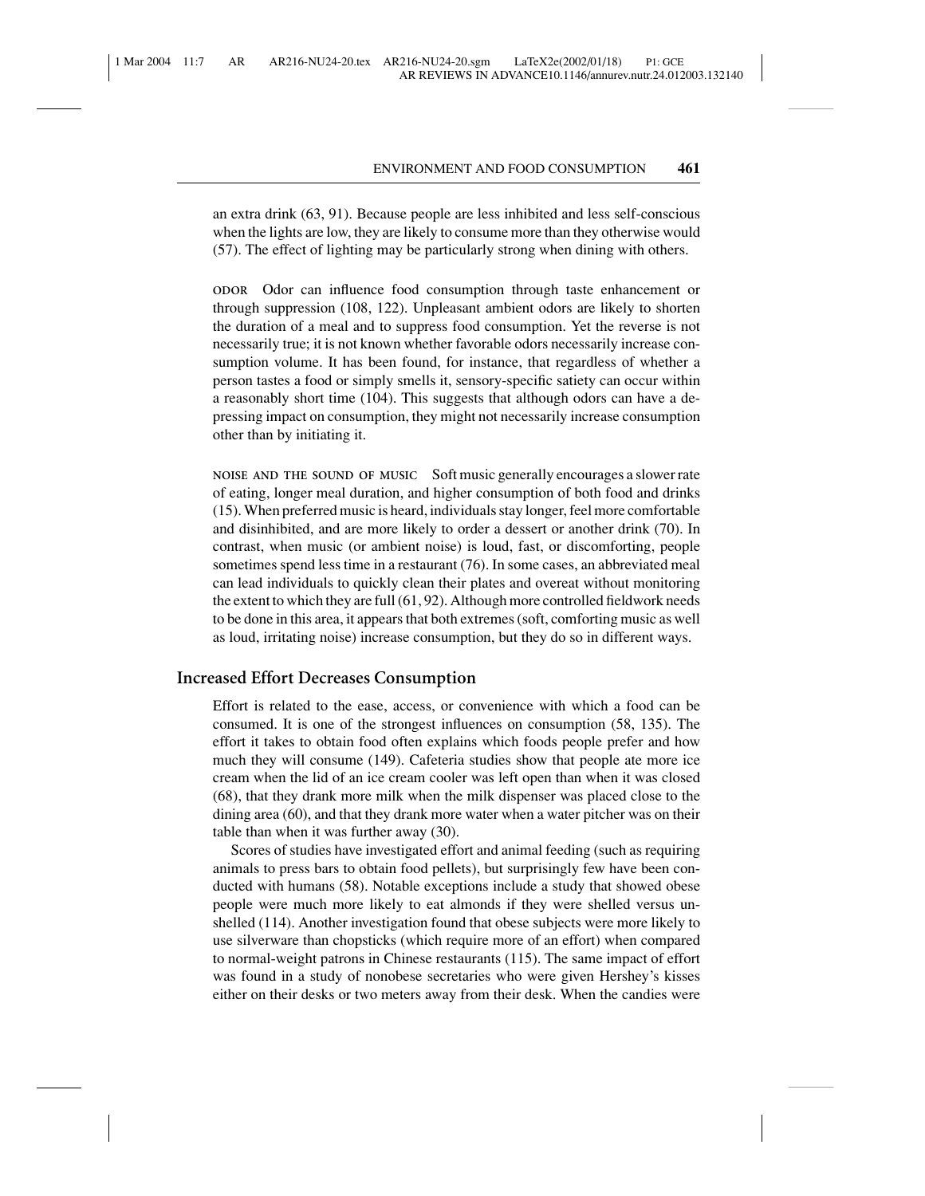an extra drink (63, 91). Because people are less inhibited and less self-conscious when the lights are low, they are likely to consume more than they otherwise would (57). The effect of lighting may be particularly strong when dining with others.

**ODOR** Odor can influence food consumption through taste enhancement or through suppression (108, 122). Unpleasant ambient odors are likely to shorten the duration of a meal and to suppress food consumption. Yet the reverse is not necessarily true; it is not known whether favorable odors necessarily increase consumption volume. It has been found, for instance, that regardless of whether a person tastes a food or simply smells it, sensory-specific satiety can occur within a reasonably short time (104). This suggests that although odors can have a depressing impact on consumption, they might not necessarily increase consumption other than by initiating it.

**NOISE AND THE SOUND OF MUSIC** Soft music generally encourages a slower rate of eating, longer meal duration, and higher consumption of both food and drinks (15). When preferred music is heard, individuals stay longer, feel more comfortable and disinhibited, and are more likely to order a dessert or another drink (70). In contrast, when music (or ambient noise) is loud, fast, or discomforting, people sometimes spend less time in a restaurant (76). In some cases, an abbreviated meal can lead individuals to quickly clean their plates and overeat without monitoring the extent to which they are full (61, 92). Although more controlled fieldwork needs to be done in this area, it appears that both extremes (soft, comforting music as well as loud, irritating noise) increase consumption, but they do so in different ways.

# **Increased Effort Decreases Consumption**

Effort is related to the ease, access, or convenience with which a food can be consumed. It is one of the strongest influences on consumption (58, 135). The effort it takes to obtain food often explains which foods people prefer and how much they will consume (149). Cafeteria studies show that people ate more ice cream when the lid of an ice cream cooler was left open than when it was closed (68), that they drank more milk when the milk dispenser was placed close to the dining area (60), and that they drank more water when a water pitcher was on their table than when it was further away (30).

Scores of studies have investigated effort and animal feeding (such as requiring animals to press bars to obtain food pellets), but surprisingly few have been conducted with humans (58). Notable exceptions include a study that showed obese people were much more likely to eat almonds if they were shelled versus unshelled (114). Another investigation found that obese subjects were more likely to use silverware than chopsticks (which require more of an effort) when compared to normal-weight patrons in Chinese restaurants (115). The same impact of effort was found in a study of nonobese secretaries who were given Hershey's kisses either on their desks or two meters away from their desk. When the candies were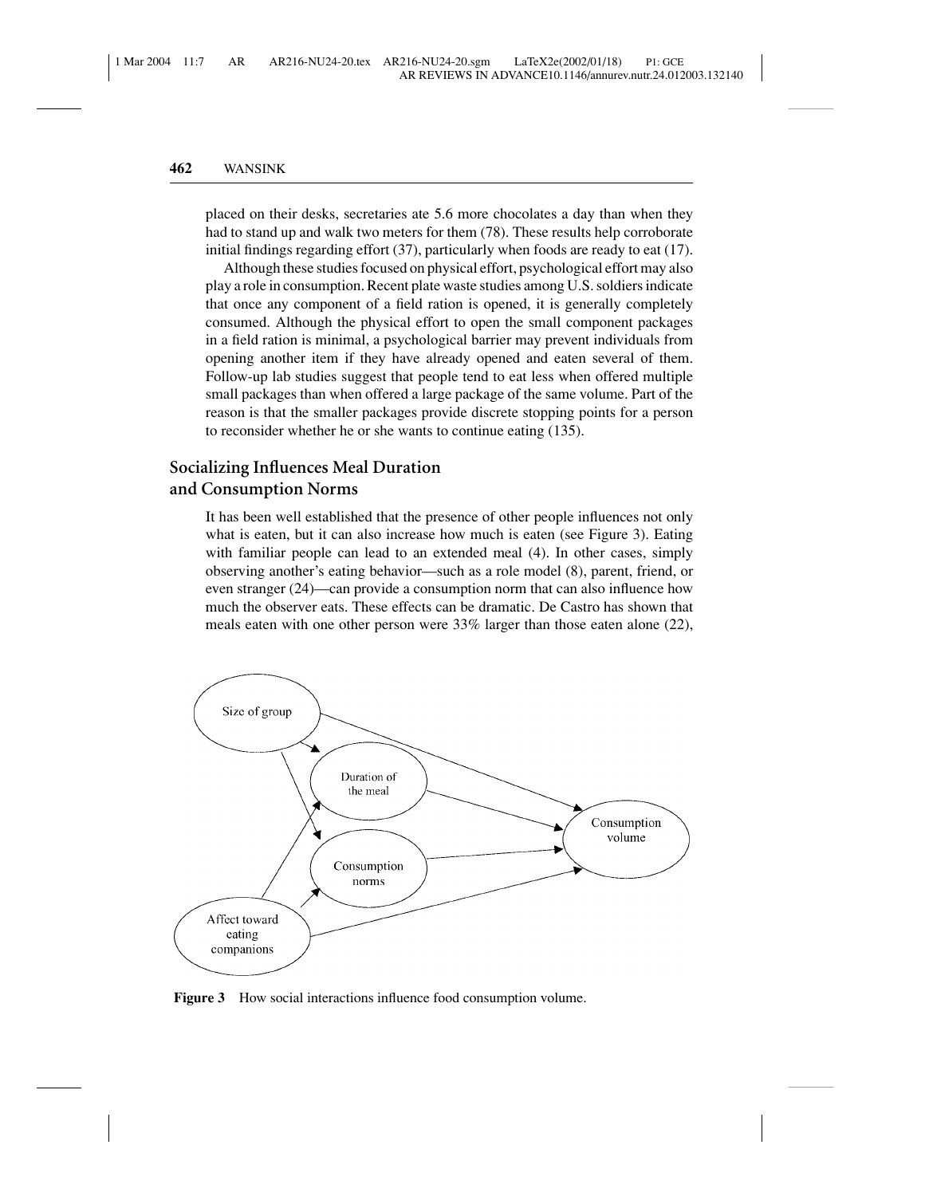placed on their desks, secretaries ate 5.6 more chocolates a day than when they had to stand up and walk two meters for them (78). These results help corroborate initial findings regarding effort (37), particularly when foods are ready to eat (17).

Although these studies focused on physical effort, psychological effort may also play a role in consumption. Recent plate waste studies among U.S. soldiers indicate that once any component of a field ration is opened, it is generally completely consumed. Although the physical effort to open the small component packages in a field ration is minimal, a psychological barrier may prevent individuals from opening another item if they have already opened and eaten several of them. Follow-up lab studies suggest that people tend to eat less when offered multiple small packages than when offered a large package of the same volume. Part of the reason is that the smaller packages provide discrete stopping points for a person to reconsider whether he or she wants to continue eating (135).

# **Socializing Influences Meal Duration and Consumption Norms**

It has been well established that the presence of other people influences not only what is eaten, but it can also increase how much is eaten (see Figure 3). Eating with familiar people can lead to an extended meal (4). In other cases, simply observing another's eating behavior—such as a role model (8), parent, friend, or even stranger (24)—can provide a consumption norm that can also influence how much the observer eats. These effects can be dramatic. De Castro has shown that meals eaten with one other person were 33% larger than those eaten alone (22),



**Figure 3** How social interactions influence food consumption volume.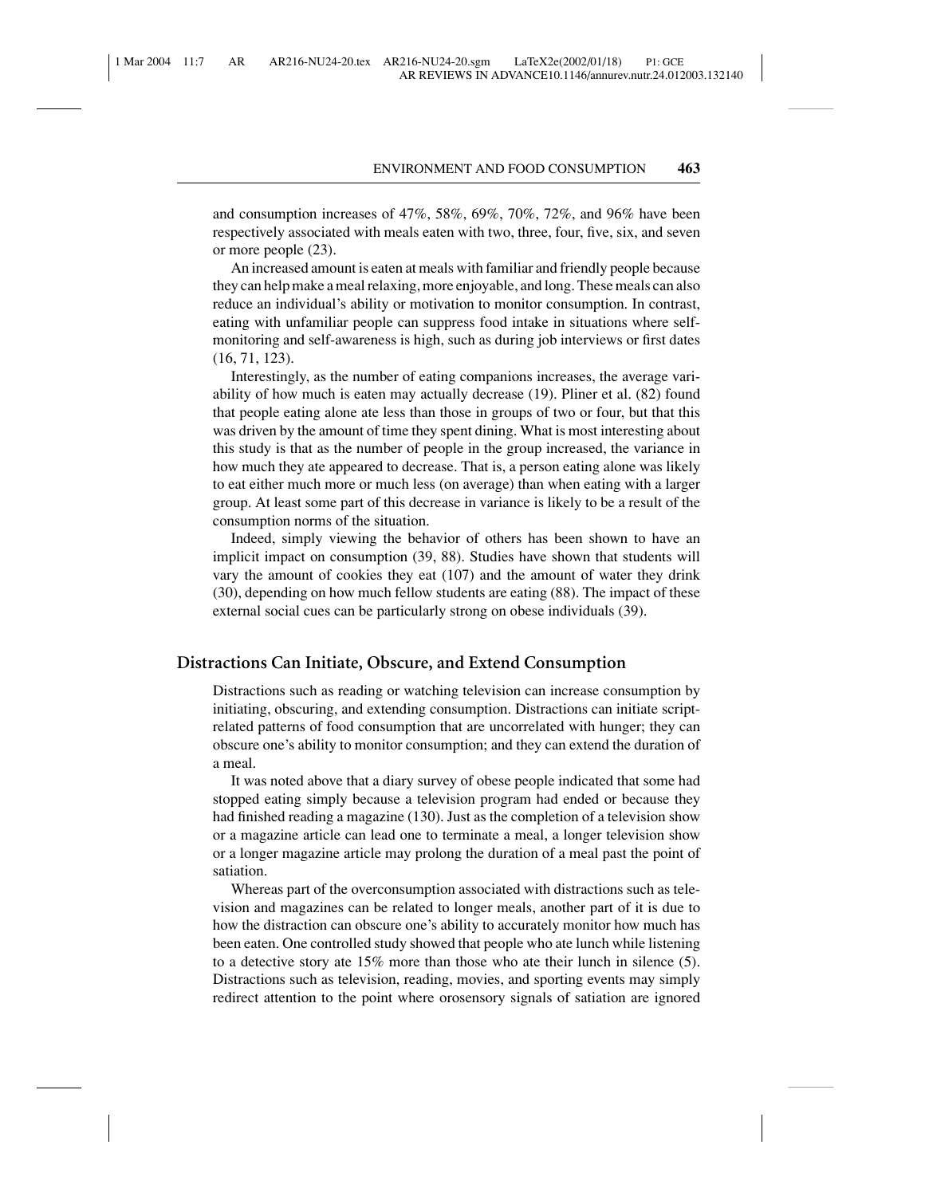and consumption increases of 47%, 58%, 69%, 70%, 72%, and 96% have been respectively associated with meals eaten with two, three, four, five, six, and seven or more people (23).

An increased amount is eaten at meals with familiar and friendly people because they can help make a meal relaxing, more enjoyable, and long. These meals can also reduce an individual's ability or motivation to monitor consumption. In contrast, eating with unfamiliar people can suppress food intake in situations where selfmonitoring and self-awareness is high, such as during job interviews or first dates (16, 71, 123).

Interestingly, as the number of eating companions increases, the average variability of how much is eaten may actually decrease (19). Pliner et al. (82) found that people eating alone ate less than those in groups of two or four, but that this was driven by the amount of time they spent dining. What is most interesting about this study is that as the number of people in the group increased, the variance in how much they ate appeared to decrease. That is, a person eating alone was likely to eat either much more or much less (on average) than when eating with a larger group. At least some part of this decrease in variance is likely to be a result of the consumption norms of the situation.

Indeed, simply viewing the behavior of others has been shown to have an implicit impact on consumption (39, 88). Studies have shown that students will vary the amount of cookies they eat (107) and the amount of water they drink (30), depending on how much fellow students are eating (88). The impact of these external social cues can be particularly strong on obese individuals (39).

# **Distractions Can Initiate, Obscure, and Extend Consumption**

Distractions such as reading or watching television can increase consumption by initiating, obscuring, and extending consumption. Distractions can initiate scriptrelated patterns of food consumption that are uncorrelated with hunger; they can obscure one's ability to monitor consumption; and they can extend the duration of a meal.

It was noted above that a diary survey of obese people indicated that some had stopped eating simply because a television program had ended or because they had finished reading a magazine (130). Just as the completion of a television show or a magazine article can lead one to terminate a meal, a longer television show or a longer magazine article may prolong the duration of a meal past the point of satiation.

Whereas part of the overconsumption associated with distractions such as television and magazines can be related to longer meals, another part of it is due to how the distraction can obscure one's ability to accurately monitor how much has been eaten. One controlled study showed that people who ate lunch while listening to a detective story ate 15% more than those who ate their lunch in silence (5). Distractions such as television, reading, movies, and sporting events may simply redirect attention to the point where orosensory signals of satiation are ignored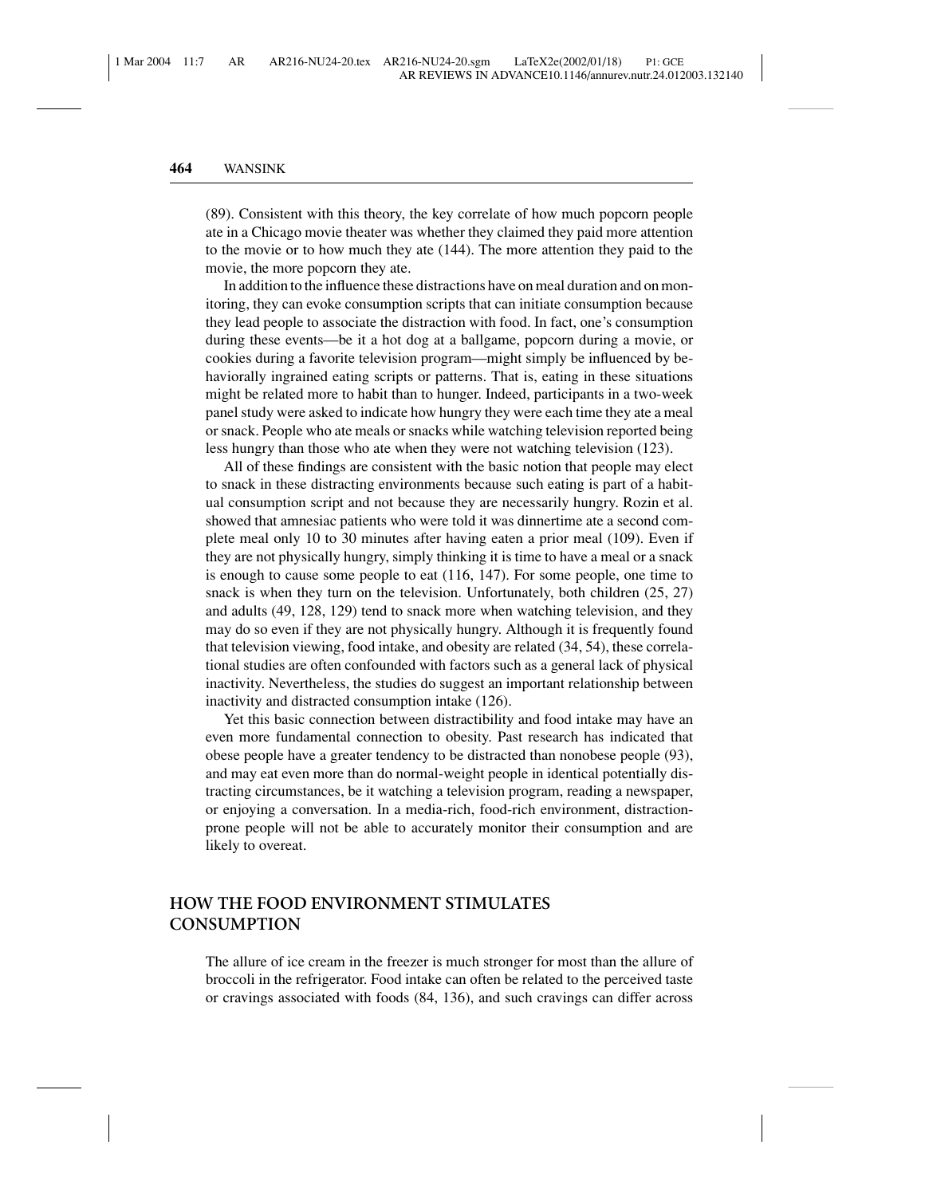(89). Consistent with this theory, the key correlate of how much popcorn people ate in a Chicago movie theater was whether they claimed they paid more attention to the movie or to how much they ate (144). The more attention they paid to the movie, the more popcorn they ate.

In addition to the influence these distractions have on meal duration and on monitoring, they can evoke consumption scripts that can initiate consumption because they lead people to associate the distraction with food. In fact, one's consumption during these events—be it a hot dog at a ballgame, popcorn during a movie, or cookies during a favorite television program—might simply be influenced by behaviorally ingrained eating scripts or patterns. That is, eating in these situations might be related more to habit than to hunger. Indeed, participants in a two-week panel study were asked to indicate how hungry they were each time they ate a meal or snack. People who ate meals or snacks while watching television reported being less hungry than those who ate when they were not watching television (123).

All of these findings are consistent with the basic notion that people may elect to snack in these distracting environments because such eating is part of a habitual consumption script and not because they are necessarily hungry. Rozin et al. showed that amnesiac patients who were told it was dinnertime ate a second complete meal only 10 to 30 minutes after having eaten a prior meal (109). Even if they are not physically hungry, simply thinking it is time to have a meal or a snack is enough to cause some people to eat (116, 147). For some people, one time to snack is when they turn on the television. Unfortunately, both children (25, 27) and adults (49, 128, 129) tend to snack more when watching television, and they may do so even if they are not physically hungry. Although it is frequently found that television viewing, food intake, and obesity are related (34, 54), these correlational studies are often confounded with factors such as a general lack of physical inactivity. Nevertheless, the studies do suggest an important relationship between inactivity and distracted consumption intake (126).

Yet this basic connection between distractibility and food intake may have an even more fundamental connection to obesity. Past research has indicated that obese people have a greater tendency to be distracted than nonobese people (93), and may eat even more than do normal-weight people in identical potentially distracting circumstances, be it watching a television program, reading a newspaper, or enjoying a conversation. In a media-rich, food-rich environment, distractionprone people will not be able to accurately monitor their consumption and are likely to overeat.

# **HOW THE FOOD ENVIRONMENT STIMULATES CONSUMPTION**

The allure of ice cream in the freezer is much stronger for most than the allure of broccoli in the refrigerator. Food intake can often be related to the perceived taste or cravings associated with foods (84, 136), and such cravings can differ across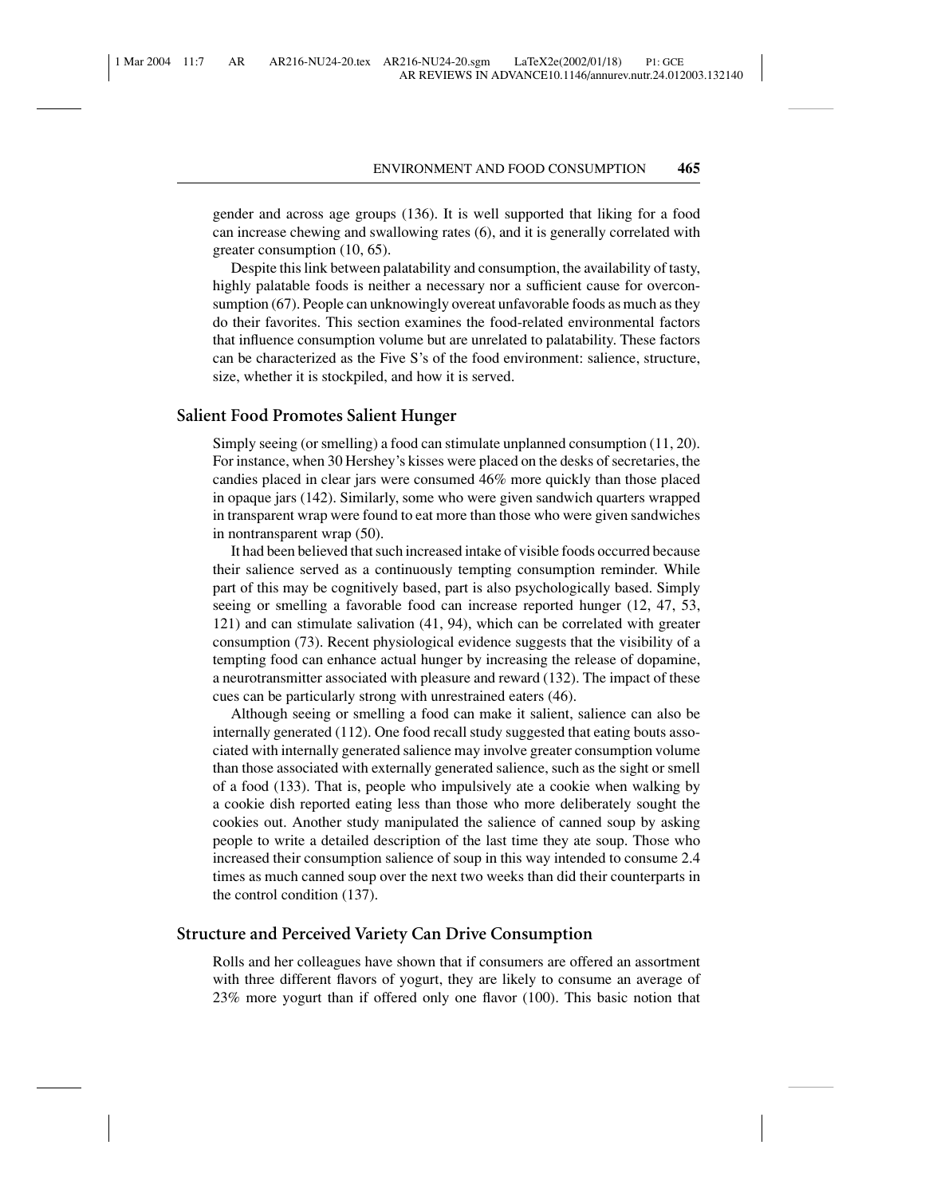gender and across age groups (136). It is well supported that liking for a food can increase chewing and swallowing rates (6), and it is generally correlated with greater consumption (10, 65).

Despite this link between palatability and consumption, the availability of tasty, highly palatable foods is neither a necessary nor a sufficient cause for overconsumption (67). People can unknowingly overeat unfavorable foods as much as they do their favorites. This section examines the food-related environmental factors that influence consumption volume but are unrelated to palatability. These factors can be characterized as the Five S's of the food environment: salience, structure, size, whether it is stockpiled, and how it is served.

#### **Salient Food Promotes Salient Hunger**

Simply seeing (or smelling) a food can stimulate unplanned consumption (11, 20). For instance, when 30 Hershey's kisses were placed on the desks of secretaries, the candies placed in clear jars were consumed 46% more quickly than those placed in opaque jars (142). Similarly, some who were given sandwich quarters wrapped in transparent wrap were found to eat more than those who were given sandwiches in nontransparent wrap (50).

It had been believed that such increased intake of visible foods occurred because their salience served as a continuously tempting consumption reminder. While part of this may be cognitively based, part is also psychologically based. Simply seeing or smelling a favorable food can increase reported hunger (12, 47, 53, 121) and can stimulate salivation (41, 94), which can be correlated with greater consumption (73). Recent physiological evidence suggests that the visibility of a tempting food can enhance actual hunger by increasing the release of dopamine, a neurotransmitter associated with pleasure and reward (132). The impact of these cues can be particularly strong with unrestrained eaters (46).

Although seeing or smelling a food can make it salient, salience can also be internally generated (112). One food recall study suggested that eating bouts associated with internally generated salience may involve greater consumption volume than those associated with externally generated salience, such as the sight or smell of a food (133). That is, people who impulsively ate a cookie when walking by a cookie dish reported eating less than those who more deliberately sought the cookies out. Another study manipulated the salience of canned soup by asking people to write a detailed description of the last time they ate soup. Those who increased their consumption salience of soup in this way intended to consume 2.4 times as much canned soup over the next two weeks than did their counterparts in the control condition (137).

## **Structure and Perceived Variety Can Drive Consumption**

Rolls and her colleagues have shown that if consumers are offered an assortment with three different flavors of yogurt, they are likely to consume an average of 23% more yogurt than if offered only one flavor (100). This basic notion that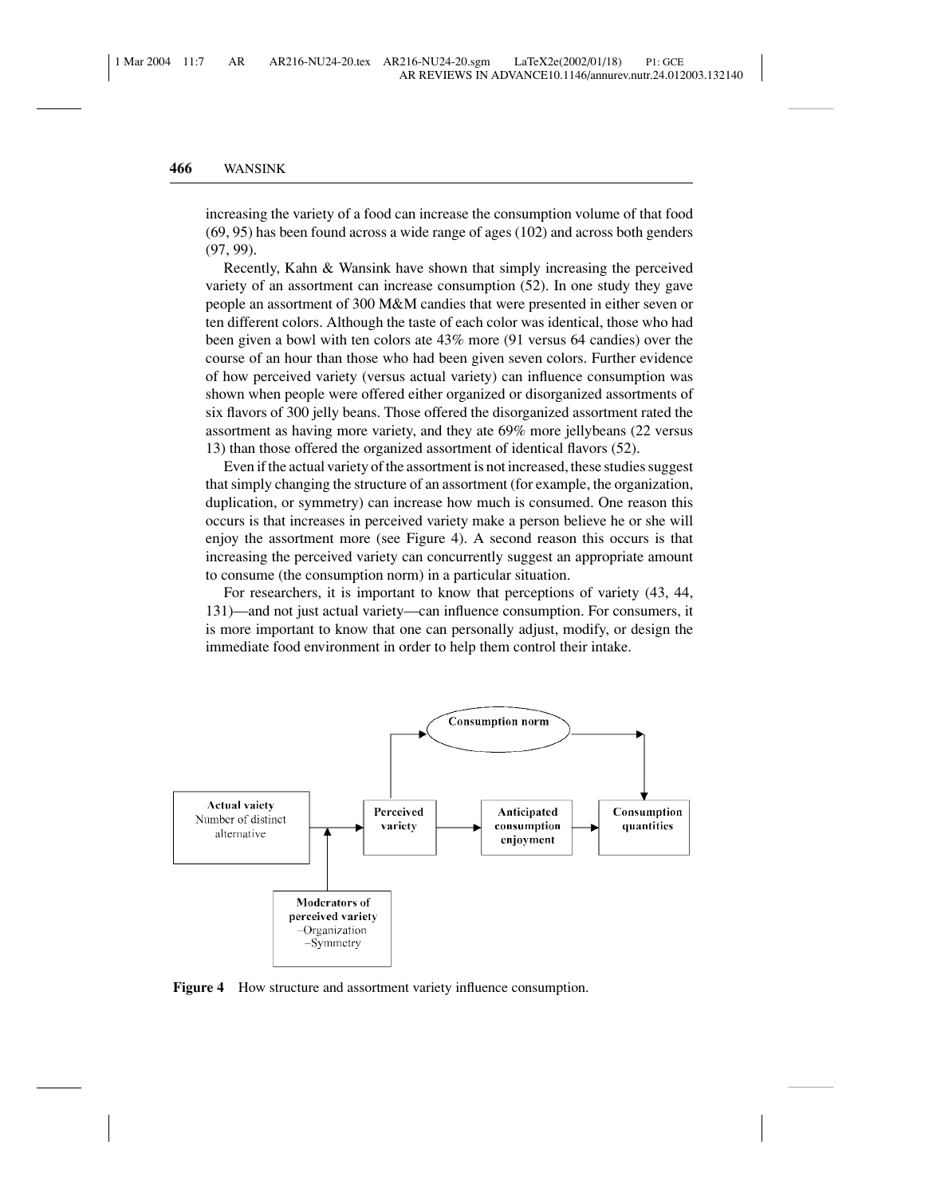increasing the variety of a food can increase the consumption volume of that food (69, 95) has been found across a wide range of ages (102) and across both genders (97, 99).

Recently, Kahn & Wansink have shown that simply increasing the perceived variety of an assortment can increase consumption (52). In one study they gave people an assortment of 300 M&M candies that were presented in either seven or ten different colors. Although the taste of each color was identical, those who had been given a bowl with ten colors ate 43% more (91 versus 64 candies) over the course of an hour than those who had been given seven colors. Further evidence of how perceived variety (versus actual variety) can influence consumption was shown when people were offered either organized or disorganized assortments of six flavors of 300 jelly beans. Those offered the disorganized assortment rated the assortment as having more variety, and they ate 69% more jellybeans (22 versus 13) than those offered the organized assortment of identical flavors (52).

Even if the actual variety of the assortment is not increased, these studies suggest that simply changing the structure of an assortment (for example, the organization, duplication, or symmetry) can increase how much is consumed. One reason this occurs is that increases in perceived variety make a person believe he or she will enjoy the assortment more (see Figure 4). A second reason this occurs is that increasing the perceived variety can concurrently suggest an appropriate amount to consume (the consumption norm) in a particular situation.

For researchers, it is important to know that perceptions of variety (43, 44, 131)—and not just actual variety—can influence consumption. For consumers, it is more important to know that one can personally adjust, modify, or design the immediate food environment in order to help them control their intake.



**Figure 4** How structure and assortment variety influence consumption.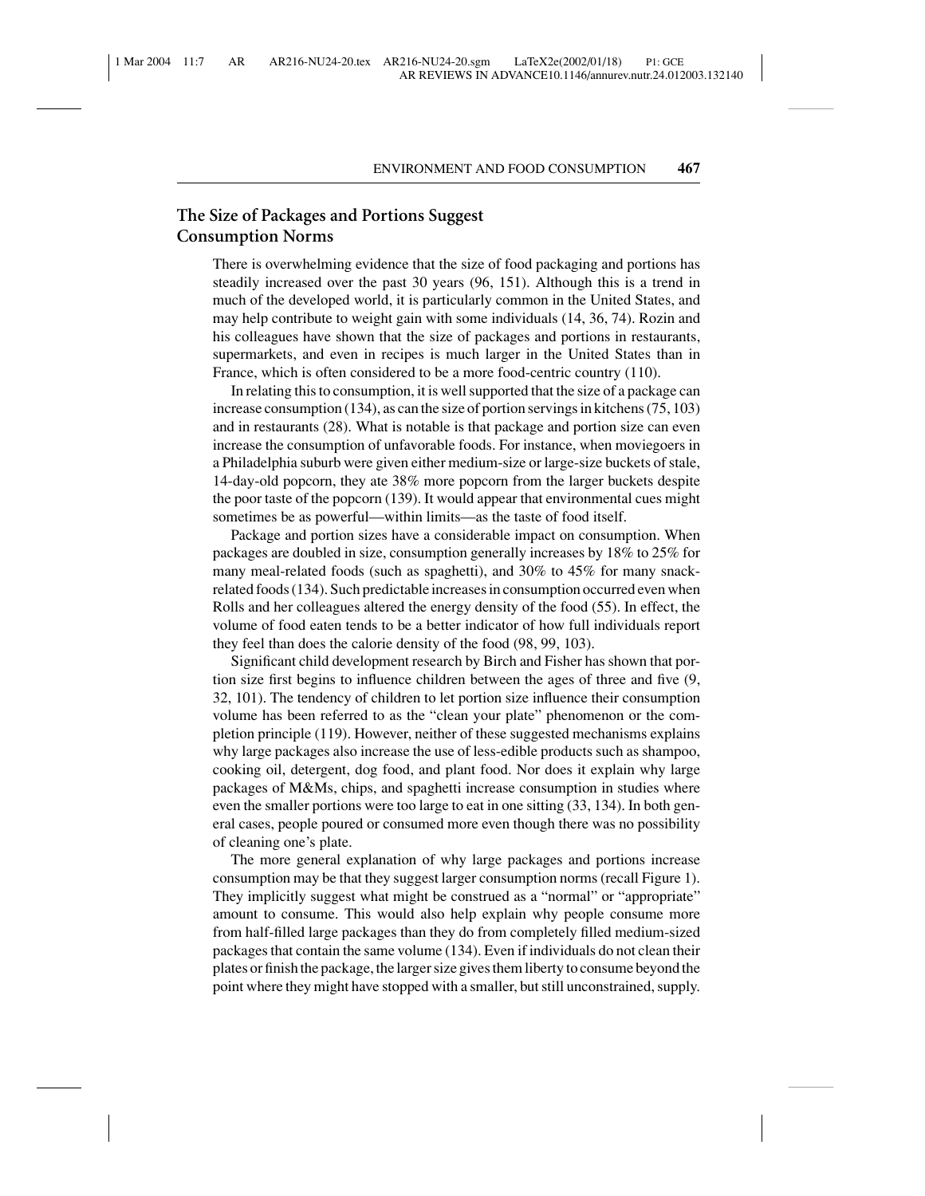# **The Size of Packages and Portions Suggest Consumption Norms**

There is overwhelming evidence that the size of food packaging and portions has steadily increased over the past 30 years (96, 151). Although this is a trend in much of the developed world, it is particularly common in the United States, and may help contribute to weight gain with some individuals (14, 36, 74). Rozin and his colleagues have shown that the size of packages and portions in restaurants, supermarkets, and even in recipes is much larger in the United States than in France, which is often considered to be a more food-centric country (110).

In relating this to consumption, it is well supported that the size of a package can increase consumption (134), as can the size of portion servings in kitchens (75, 103) and in restaurants (28). What is notable is that package and portion size can even increase the consumption of unfavorable foods. For instance, when moviegoers in a Philadelphia suburb were given either medium-size or large-size buckets of stale, 14-day-old popcorn, they ate 38% more popcorn from the larger buckets despite the poor taste of the popcorn (139). It would appear that environmental cues might sometimes be as powerful—within limits—as the taste of food itself.

Package and portion sizes have a considerable impact on consumption. When packages are doubled in size, consumption generally increases by 18% to 25% for many meal-related foods (such as spaghetti), and 30% to 45% for many snackrelated foods (134). Such predictable increases in consumption occurred even when Rolls and her colleagues altered the energy density of the food (55). In effect, the volume of food eaten tends to be a better indicator of how full individuals report they feel than does the calorie density of the food (98, 99, 103).

Significant child development research by Birch and Fisher has shown that portion size first begins to influence children between the ages of three and five (9, 32, 101). The tendency of children to let portion size influence their consumption volume has been referred to as the "clean your plate" phenomenon or the completion principle (119). However, neither of these suggested mechanisms explains why large packages also increase the use of less-edible products such as shampoo, cooking oil, detergent, dog food, and plant food. Nor does it explain why large packages of M&Ms, chips, and spaghetti increase consumption in studies where even the smaller portions were too large to eat in one sitting (33, 134). In both general cases, people poured or consumed more even though there was no possibility of cleaning one's plate.

The more general explanation of why large packages and portions increase consumption may be that they suggest larger consumption norms (recall Figure 1). They implicitly suggest what might be construed as a "normal" or "appropriate" amount to consume. This would also help explain why people consume more from half-filled large packages than they do from completely filled medium-sized packages that contain the same volume (134). Even if individuals do not clean their plates or finish the package, the larger size gives them liberty to consume beyond the point where they might have stopped with a smaller, but still unconstrained, supply.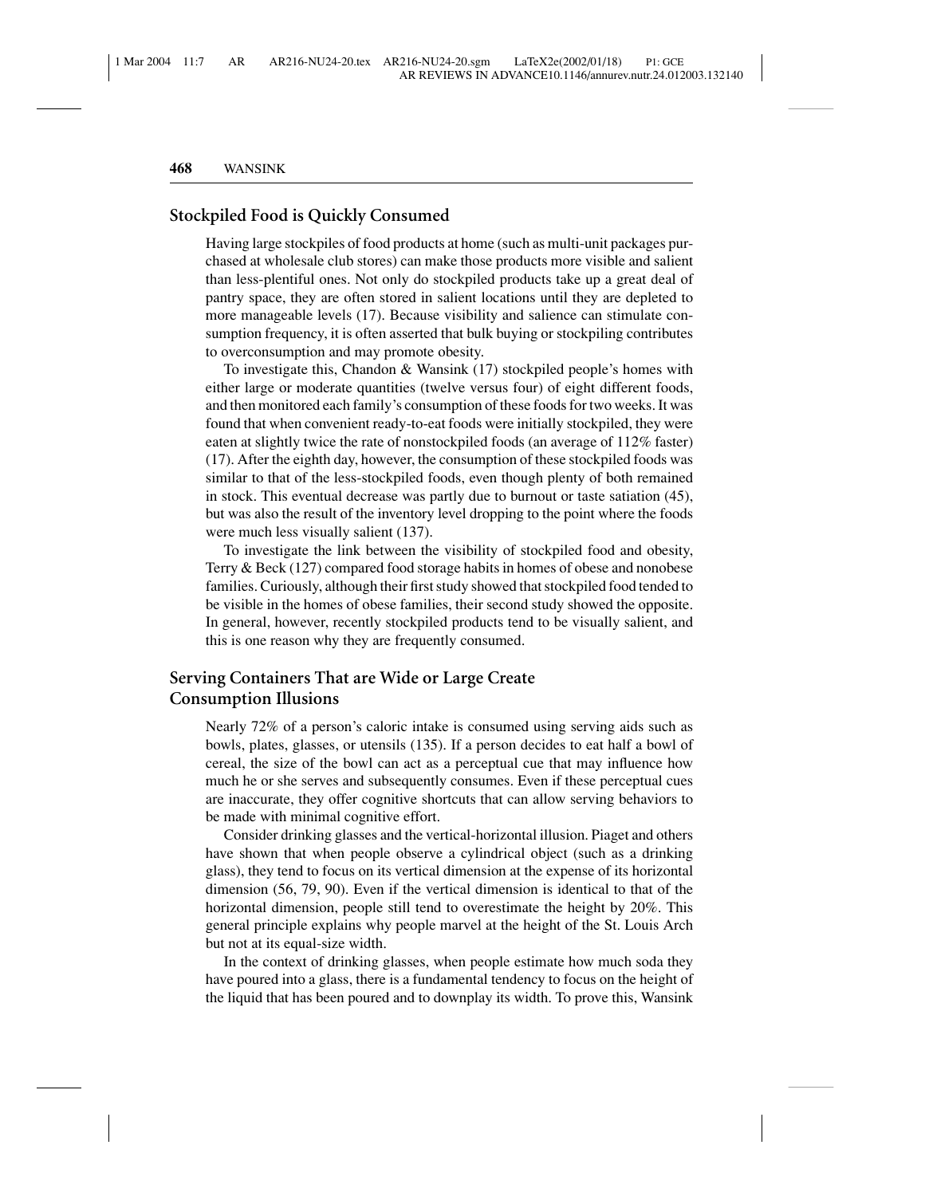# **Stockpiled Food is Quickly Consumed**

Having large stockpiles of food products at home (such as multi-unit packages purchased at wholesale club stores) can make those products more visible and salient than less-plentiful ones. Not only do stockpiled products take up a great deal of pantry space, they are often stored in salient locations until they are depleted to more manageable levels (17). Because visibility and salience can stimulate consumption frequency, it is often asserted that bulk buying or stockpiling contributes to overconsumption and may promote obesity.

To investigate this, Chandon & Wansink (17) stockpiled people's homes with either large or moderate quantities (twelve versus four) of eight different foods, and then monitored each family's consumption of these foods for two weeks. It was found that when convenient ready-to-eat foods were initially stockpiled, they were eaten at slightly twice the rate of nonstockpiled foods (an average of 112% faster) (17). After the eighth day, however, the consumption of these stockpiled foods was similar to that of the less-stockpiled foods, even though plenty of both remained in stock. This eventual decrease was partly due to burnout or taste satiation (45), but was also the result of the inventory level dropping to the point where the foods were much less visually salient (137).

To investigate the link between the visibility of stockpiled food and obesity, Terry & Beck (127) compared food storage habits in homes of obese and nonobese families. Curiously, although their first study showed that stockpiled food tended to be visible in the homes of obese families, their second study showed the opposite. In general, however, recently stockpiled products tend to be visually salient, and this is one reason why they are frequently consumed.

# **Serving Containers That are Wide or Large Create Consumption Illusions**

Nearly 72% of a person's caloric intake is consumed using serving aids such as bowls, plates, glasses, or utensils (135). If a person decides to eat half a bowl of cereal, the size of the bowl can act as a perceptual cue that may influence how much he or she serves and subsequently consumes. Even if these perceptual cues are inaccurate, they offer cognitive shortcuts that can allow serving behaviors to be made with minimal cognitive effort.

Consider drinking glasses and the vertical-horizontal illusion. Piaget and others have shown that when people observe a cylindrical object (such as a drinking glass), they tend to focus on its vertical dimension at the expense of its horizontal dimension (56, 79, 90). Even if the vertical dimension is identical to that of the horizontal dimension, people still tend to overestimate the height by 20%. This general principle explains why people marvel at the height of the St. Louis Arch but not at its equal-size width.

In the context of drinking glasses, when people estimate how much soda they have poured into a glass, there is a fundamental tendency to focus on the height of the liquid that has been poured and to downplay its width. To prove this, Wansink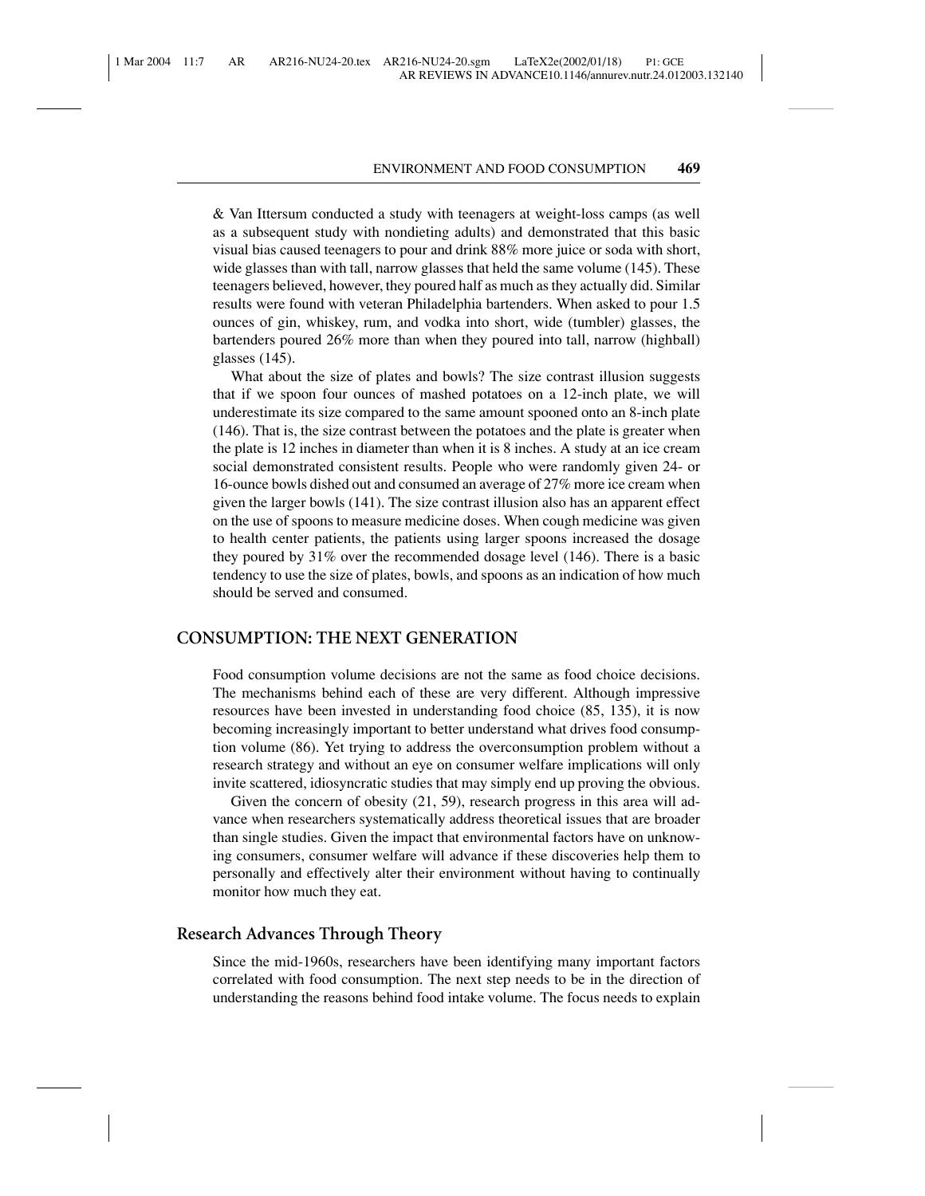& Van Ittersum conducted a study with teenagers at weight-loss camps (as well as a subsequent study with nondieting adults) and demonstrated that this basic visual bias caused teenagers to pour and drink 88% more juice or soda with short, wide glasses than with tall, narrow glasses that held the same volume (145). These teenagers believed, however, they poured half as much as they actually did. Similar results were found with veteran Philadelphia bartenders. When asked to pour 1.5 ounces of gin, whiskey, rum, and vodka into short, wide (tumbler) glasses, the bartenders poured 26% more than when they poured into tall, narrow (highball) glasses (145).

What about the size of plates and bowls? The size contrast illusion suggests that if we spoon four ounces of mashed potatoes on a 12-inch plate, we will underestimate its size compared to the same amount spooned onto an 8-inch plate (146). That is, the size contrast between the potatoes and the plate is greater when the plate is 12 inches in diameter than when it is 8 inches. A study at an ice cream social demonstrated consistent results. People who were randomly given 24- or 16-ounce bowls dished out and consumed an average of 27% more ice cream when given the larger bowls (141). The size contrast illusion also has an apparent effect on the use of spoons to measure medicine doses. When cough medicine was given to health center patients, the patients using larger spoons increased the dosage they poured by 31% over the recommended dosage level (146). There is a basic tendency to use the size of plates, bowls, and spoons as an indication of how much should be served and consumed.

## **CONSUMPTION: THE NEXT GENERATION**

Food consumption volume decisions are not the same as food choice decisions. The mechanisms behind each of these are very different. Although impressive resources have been invested in understanding food choice (85, 135), it is now becoming increasingly important to better understand what drives food consumption volume (86). Yet trying to address the overconsumption problem without a research strategy and without an eye on consumer welfare implications will only invite scattered, idiosyncratic studies that may simply end up proving the obvious.

Given the concern of obesity (21, 59), research progress in this area will advance when researchers systematically address theoretical issues that are broader than single studies. Given the impact that environmental factors have on unknowing consumers, consumer welfare will advance if these discoveries help them to personally and effectively alter their environment without having to continually monitor how much they eat.

# **Research Advances Through Theory**

Since the mid-1960s, researchers have been identifying many important factors correlated with food consumption. The next step needs to be in the direction of understanding the reasons behind food intake volume. The focus needs to explain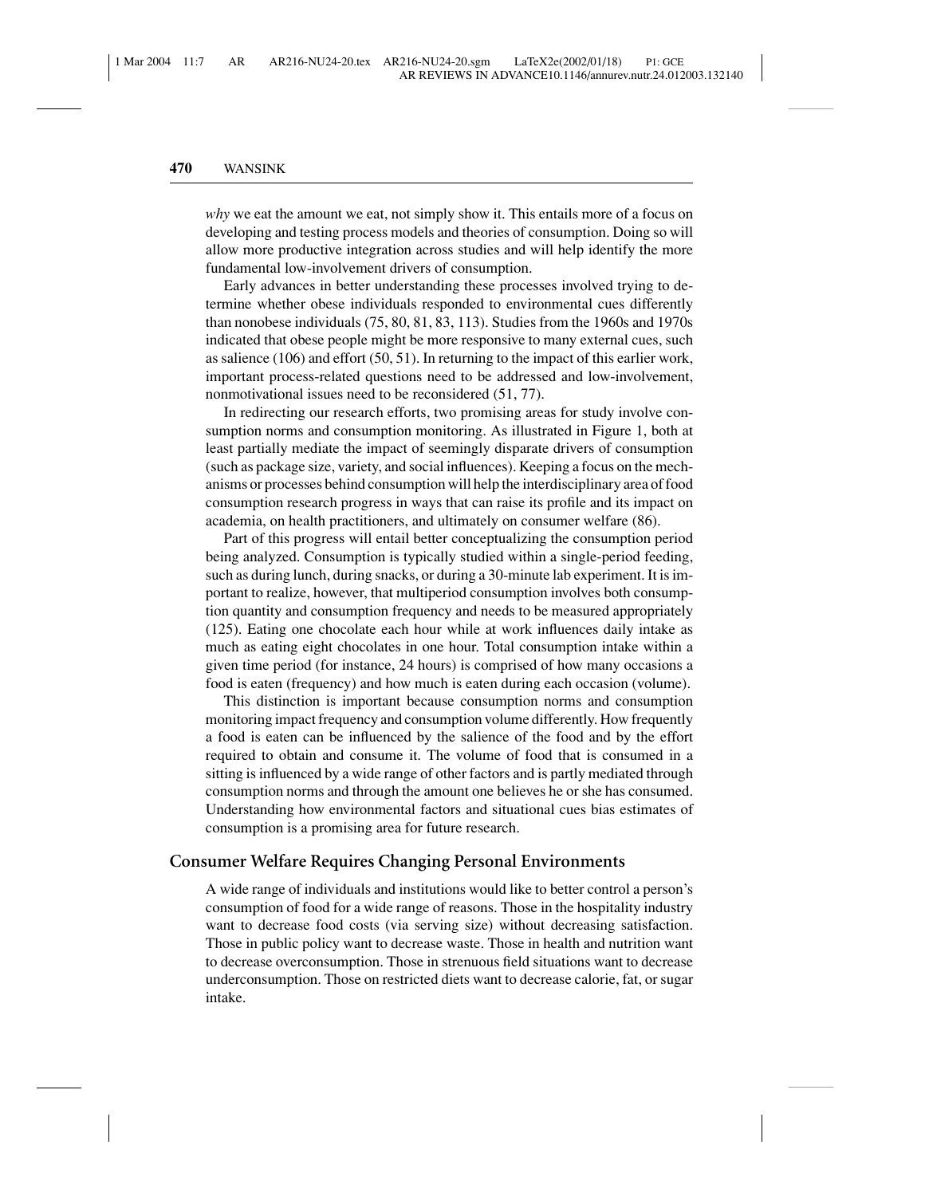*why* we eat the amount we eat, not simply show it. This entails more of a focus on developing and testing process models and theories of consumption. Doing so will allow more productive integration across studies and will help identify the more fundamental low-involvement drivers of consumption.

Early advances in better understanding these processes involved trying to determine whether obese individuals responded to environmental cues differently than nonobese individuals (75, 80, 81, 83, 113). Studies from the 1960s and 1970s indicated that obese people might be more responsive to many external cues, such as salience (106) and effort (50, 51). In returning to the impact of this earlier work, important process-related questions need to be addressed and low-involvement, nonmotivational issues need to be reconsidered (51, 77).

In redirecting our research efforts, two promising areas for study involve consumption norms and consumption monitoring. As illustrated in Figure 1, both at least partially mediate the impact of seemingly disparate drivers of consumption (such as package size, variety, and social influences). Keeping a focus on the mechanisms or processes behind consumption will help the interdisciplinary area of food consumption research progress in ways that can raise its profile and its impact on academia, on health practitioners, and ultimately on consumer welfare (86).

Part of this progress will entail better conceptualizing the consumption period being analyzed. Consumption is typically studied within a single-period feeding, such as during lunch, during snacks, or during a 30-minute lab experiment. It is important to realize, however, that multiperiod consumption involves both consumption quantity and consumption frequency and needs to be measured appropriately (125). Eating one chocolate each hour while at work influences daily intake as much as eating eight chocolates in one hour. Total consumption intake within a given time period (for instance, 24 hours) is comprised of how many occasions a food is eaten (frequency) and how much is eaten during each occasion (volume).

This distinction is important because consumption norms and consumption monitoring impact frequency and consumption volume differently. How frequently a food is eaten can be influenced by the salience of the food and by the effort required to obtain and consume it. The volume of food that is consumed in a sitting is influenced by a wide range of other factors and is partly mediated through consumption norms and through the amount one believes he or she has consumed. Understanding how environmental factors and situational cues bias estimates of consumption is a promising area for future research.

## **Consumer Welfare Requires Changing Personal Environments**

A wide range of individuals and institutions would like to better control a person's consumption of food for a wide range of reasons. Those in the hospitality industry want to decrease food costs (via serving size) without decreasing satisfaction. Those in public policy want to decrease waste. Those in health and nutrition want to decrease overconsumption. Those in strenuous field situations want to decrease underconsumption. Those on restricted diets want to decrease calorie, fat, or sugar intake.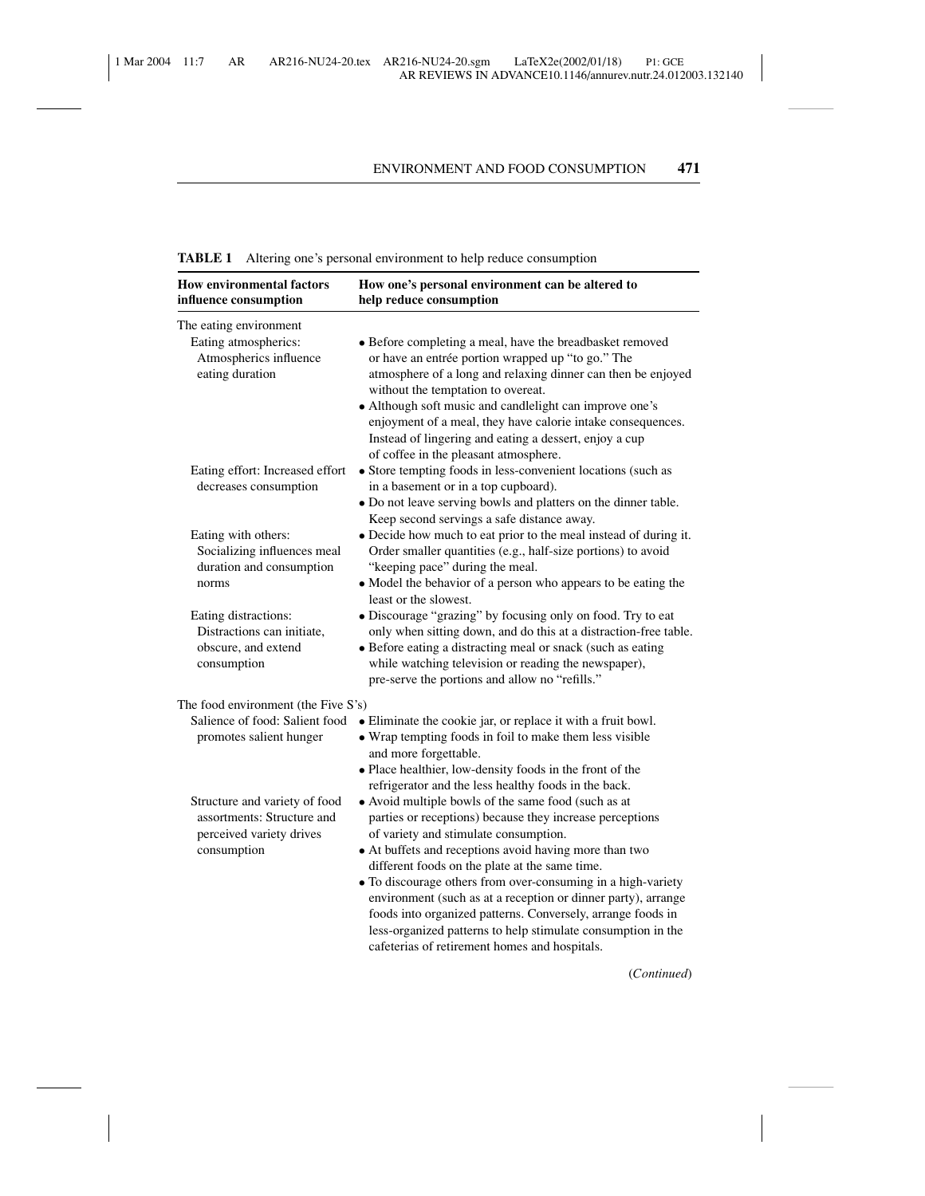# **TABLE 1** Altering one's personal environment to help reduce consumption

| <b>How environmental factors</b><br>influence consumption                                              | How one's personal environment can be altered to<br>help reduce consumption                                                                                                                                                                                                                                                                                                                                                                                                                                                                                                           |  |
|--------------------------------------------------------------------------------------------------------|---------------------------------------------------------------------------------------------------------------------------------------------------------------------------------------------------------------------------------------------------------------------------------------------------------------------------------------------------------------------------------------------------------------------------------------------------------------------------------------------------------------------------------------------------------------------------------------|--|
| The eating environment<br>Eating atmospherics:<br>Atmospherics influence<br>eating duration            | • Before completing a meal, have the breadbasket removed<br>or have an entrée portion wrapped up "to go." The<br>atmosphere of a long and relaxing dinner can then be enjoyed<br>without the temptation to overeat.<br>• Although soft music and candlelight can improve one's<br>enjoyment of a meal, they have calorie intake consequences.                                                                                                                                                                                                                                         |  |
| Eating effort: Increased effort<br>decreases consumption                                               | Instead of lingering and eating a dessert, enjoy a cup<br>of coffee in the pleasant atmosphere.<br>• Store tempting foods in less-convenient locations (such as<br>in a basement or in a top cupboard).<br>· Do not leave serving bowls and platters on the dinner table.                                                                                                                                                                                                                                                                                                             |  |
| Eating with others:<br>Socializing influences meal<br>duration and consumption<br>norms                | Keep second servings a safe distance away.<br>· Decide how much to eat prior to the meal instead of during it.<br>Order smaller quantities (e.g., half-size portions) to avoid<br>"keeping pace" during the meal.<br>• Model the behavior of a person who appears to be eating the<br>least or the slowest.                                                                                                                                                                                                                                                                           |  |
| Eating distractions:<br>Distractions can initiate,<br>obscure, and extend<br>consumption               | · Discourage "grazing" by focusing only on food. Try to eat<br>only when sitting down, and do this at a distraction-free table.<br>• Before eating a distracting meal or snack (such as eating<br>while watching television or reading the newspaper),<br>pre-serve the portions and allow no "refills."                                                                                                                                                                                                                                                                              |  |
| The food environment (the Five S's)                                                                    |                                                                                                                                                                                                                                                                                                                                                                                                                                                                                                                                                                                       |  |
| Salience of food: Salient food<br>promotes salient hunger                                              | • Eliminate the cookie jar, or replace it with a fruit bowl.<br>• Wrap tempting foods in foil to make them less visible<br>and more forgettable.<br>· Place healthier, low-density foods in the front of the<br>refrigerator and the less healthy foods in the back.                                                                                                                                                                                                                                                                                                                  |  |
| Structure and variety of food<br>assortments: Structure and<br>perceived variety drives<br>consumption | • Avoid multiple bowls of the same food (such as at<br>parties or receptions) because they increase perceptions<br>of variety and stimulate consumption.<br>• At buffets and receptions avoid having more than two<br>different foods on the plate at the same time.<br>• To discourage others from over-consuming in a high-variety<br>environment (such as at a reception or dinner party), arrange<br>foods into organized patterns. Conversely, arrange foods in<br>less-organized patterns to help stimulate consumption in the<br>cafeterias of retirement homes and hospitals. |  |

(*Continued*)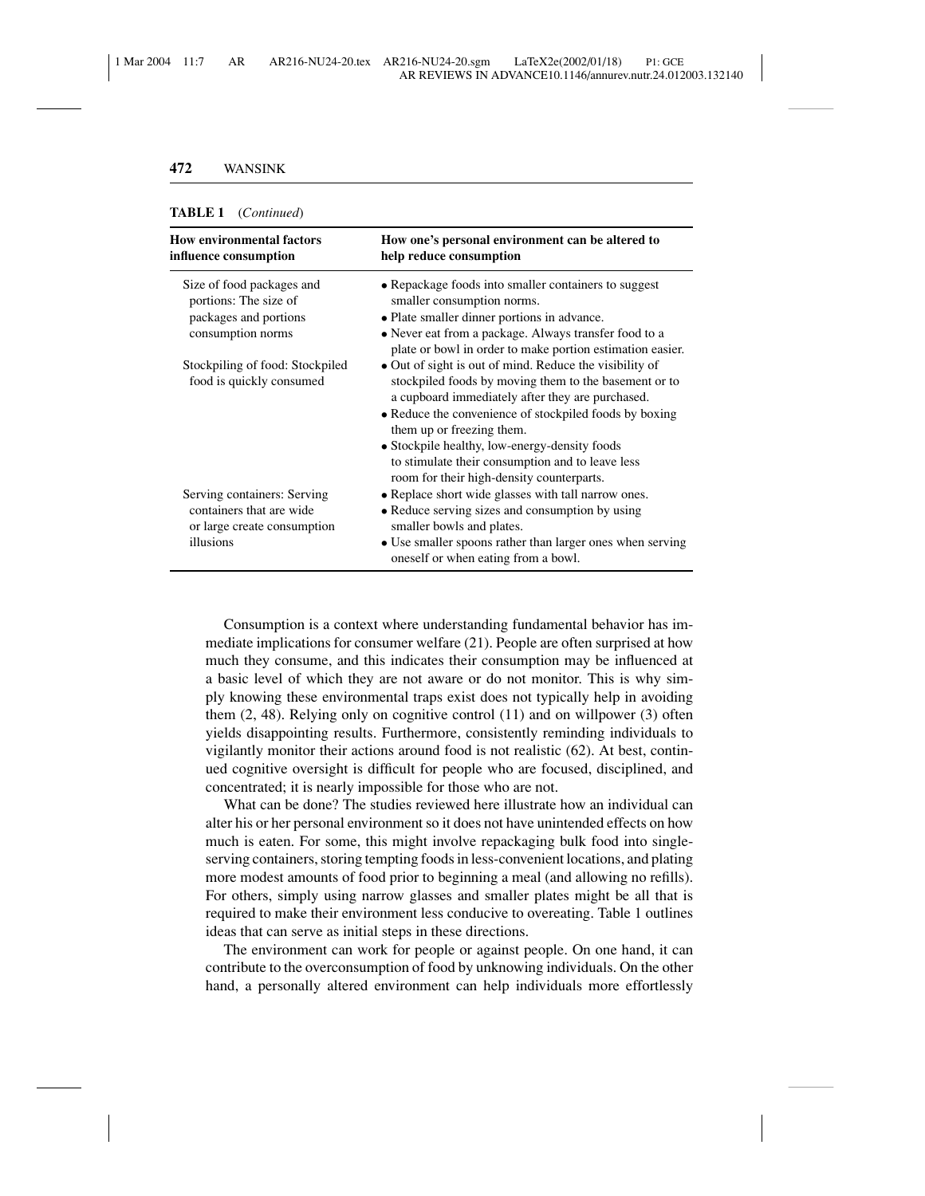#### **TABLE 1** (*Continued*)

| <b>How environmental factors</b><br>influence consumption                              | How one's personal environment can be altered to<br>help reduce consumption                                                                                                                                                                                 |
|----------------------------------------------------------------------------------------|-------------------------------------------------------------------------------------------------------------------------------------------------------------------------------------------------------------------------------------------------------------|
| Size of food packages and<br>portions: The size of                                     | • Repackage foods into smaller containers to suggest<br>smaller consumption norms.                                                                                                                                                                          |
| packages and portions<br>consumption norms                                             | • Plate smaller dinner portions in advance.                                                                                                                                                                                                                 |
|                                                                                        | • Never eat from a package. Always transfer food to a<br>plate or bowl in order to make portion estimation easier.                                                                                                                                          |
| Stockpiling of food: Stockpiled<br>food is quickly consumed                            | • Out of sight is out of mind. Reduce the visibility of<br>stockpiled foods by moving them to the basement or to<br>a cupboard immediately after they are purchased.<br>• Reduce the convenience of stockpiled foods by boxing<br>them up or freezing them. |
|                                                                                        | • Stockpile healthy, low-energy-density foods<br>to stimulate their consumption and to leave less<br>room for their high-density counterparts.                                                                                                              |
| Serving containers: Serving<br>containers that are wide<br>or large create consumption | • Replace short wide glasses with tall narrow ones.<br>• Reduce serving sizes and consumption by using<br>smaller bowls and plates.                                                                                                                         |
| illusions                                                                              | • Use smaller spoons rather than larger ones when serving<br>oneself or when eating from a bowl.                                                                                                                                                            |

Consumption is a context where understanding fundamental behavior has immediate implications for consumer welfare (21). People are often surprised at how much they consume, and this indicates their consumption may be influenced at a basic level of which they are not aware or do not monitor. This is why simply knowing these environmental traps exist does not typically help in avoiding them  $(2, 48)$ . Relying only on cognitive control  $(11)$  and on will power  $(3)$  often yields disappointing results. Furthermore, consistently reminding individuals to vigilantly monitor their actions around food is not realistic (62). At best, continued cognitive oversight is difficult for people who are focused, disciplined, and concentrated; it is nearly impossible for those who are not.

What can be done? The studies reviewed here illustrate how an individual can alter his or her personal environment so it does not have unintended effects on how much is eaten. For some, this might involve repackaging bulk food into singleserving containers, storing tempting foods in less-convenient locations, and plating more modest amounts of food prior to beginning a meal (and allowing no refills). For others, simply using narrow glasses and smaller plates might be all that is required to make their environment less conducive to overeating. Table 1 outlines ideas that can serve as initial steps in these directions.

The environment can work for people or against people. On one hand, it can contribute to the overconsumption of food by unknowing individuals. On the other hand, a personally altered environment can help individuals more effortlessly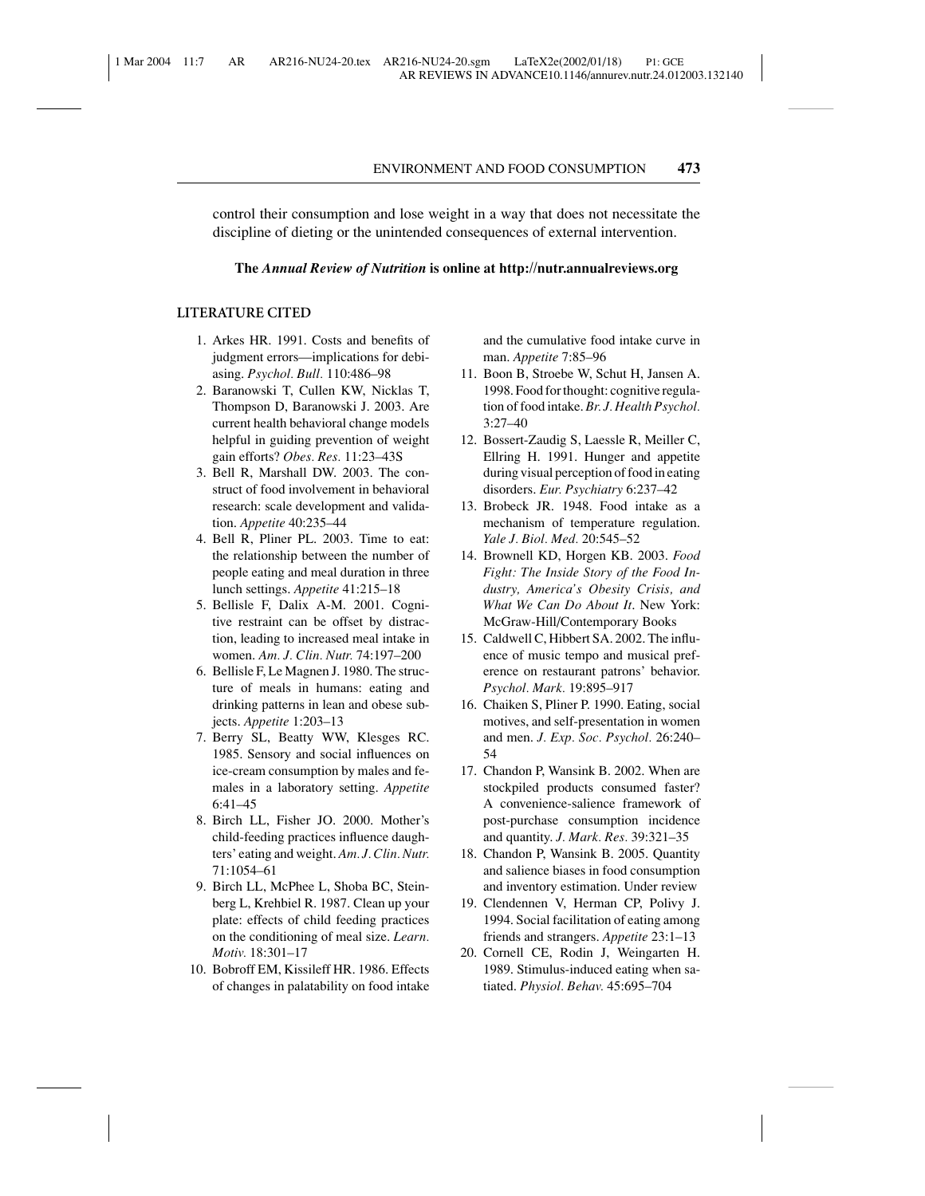control their consumption and lose weight in a way that does not necessitate the discipline of dieting or the unintended consequences of external intervention.

#### **The** *Annual Review of Nutrition* **is online at http://nutr.annualreviews.org**

#### **LITERATURE CITED**

- 1. Arkes HR. 1991. Costs and benefits of judgment errors—implications for debiasing. *Psychol. Bull.* 110:486–98
- 2. Baranowski T, Cullen KW, Nicklas T, Thompson D, Baranowski J. 2003. Are current health behavioral change models helpful in guiding prevention of weight gain efforts? *Obes. Res.* 11:23–43S
- 3. Bell R, Marshall DW. 2003. The construct of food involvement in behavioral research: scale development and validation. *Appetite* 40:235–44
- 4. Bell R, Pliner PL. 2003. Time to eat: the relationship between the number of people eating and meal duration in three lunch settings. *Appetite* 41:215–18
- 5. Bellisle F, Dalix A-M. 2001. Cognitive restraint can be offset by distraction, leading to increased meal intake in women. *Am. J. Clin. Nutr.* 74:197–200
- 6. Bellisle F, Le Magnen J. 1980. The structure of meals in humans: eating and drinking patterns in lean and obese subjects. *Appetite* 1:203–13
- 7. Berry SL, Beatty WW, Klesges RC. 1985. Sensory and social influences on ice-cream consumption by males and females in a laboratory setting. *Appetite* 6:41–45
- 8. Birch LL, Fisher JO. 2000. Mother's child-feeding practices influence daughters' eating and weight. *Am. J. Clin. Nutr.* 71:1054–61
- 9. Birch LL, McPhee L, Shoba BC, Steinberg L, Krehbiel R. 1987. Clean up your plate: effects of child feeding practices on the conditioning of meal size. *Learn. Motiv.* 18:301–17
- 10. Bobroff EM, Kissileff HR. 1986. Effects of changes in palatability on food intake

and the cumulative food intake curve in man. *Appetite* 7:85–96

- 11. Boon B, Stroebe W, Schut H, Jansen A. 1998. Food for thought: cognitive regulation of food intake. *Br. J. Health Psychol.* 3:27–40
- 12. Bossert-Zaudig S, Laessle R, Meiller C, Ellring H. 1991. Hunger and appetite during visual perception of food in eating disorders. *Eur. Psychiatry* 6:237–42
- 13. Brobeck JR. 1948. Food intake as a mechanism of temperature regulation. *Yale J. Biol. Med.* 20:545–52
- 14. Brownell KD, Horgen KB. 2003. *Food Fight: The Inside Story of the Food Industry, America's Obesity Crisis, and What We Can Do About It*. New York: McGraw-Hill/Contemporary Books
- 15. Caldwell C, Hibbert SA. 2002. The influence of music tempo and musical preference on restaurant patrons' behavior. *Psychol. Mark.* 19:895–917
- 16. Chaiken S, Pliner P. 1990. Eating, social motives, and self-presentation in women and men. *J. Exp. Soc. Psychol.* 26:240– 54
- 17. Chandon P, Wansink B. 2002. When are stockpiled products consumed faster? A convenience-salience framework of post-purchase consumption incidence and quantity. *J. Mark. Res.* 39:321–35
- 18. Chandon P, Wansink B. 2005. Quantity and salience biases in food consumption and inventory estimation. Under review
- 19. Clendennen V, Herman CP, Polivy J. 1994. Social facilitation of eating among friends and strangers. *Appetite* 23:1–13
- 20. Cornell CE, Rodin J, Weingarten H. 1989. Stimulus-induced eating when satiated. *Physiol. Behav.* 45:695–704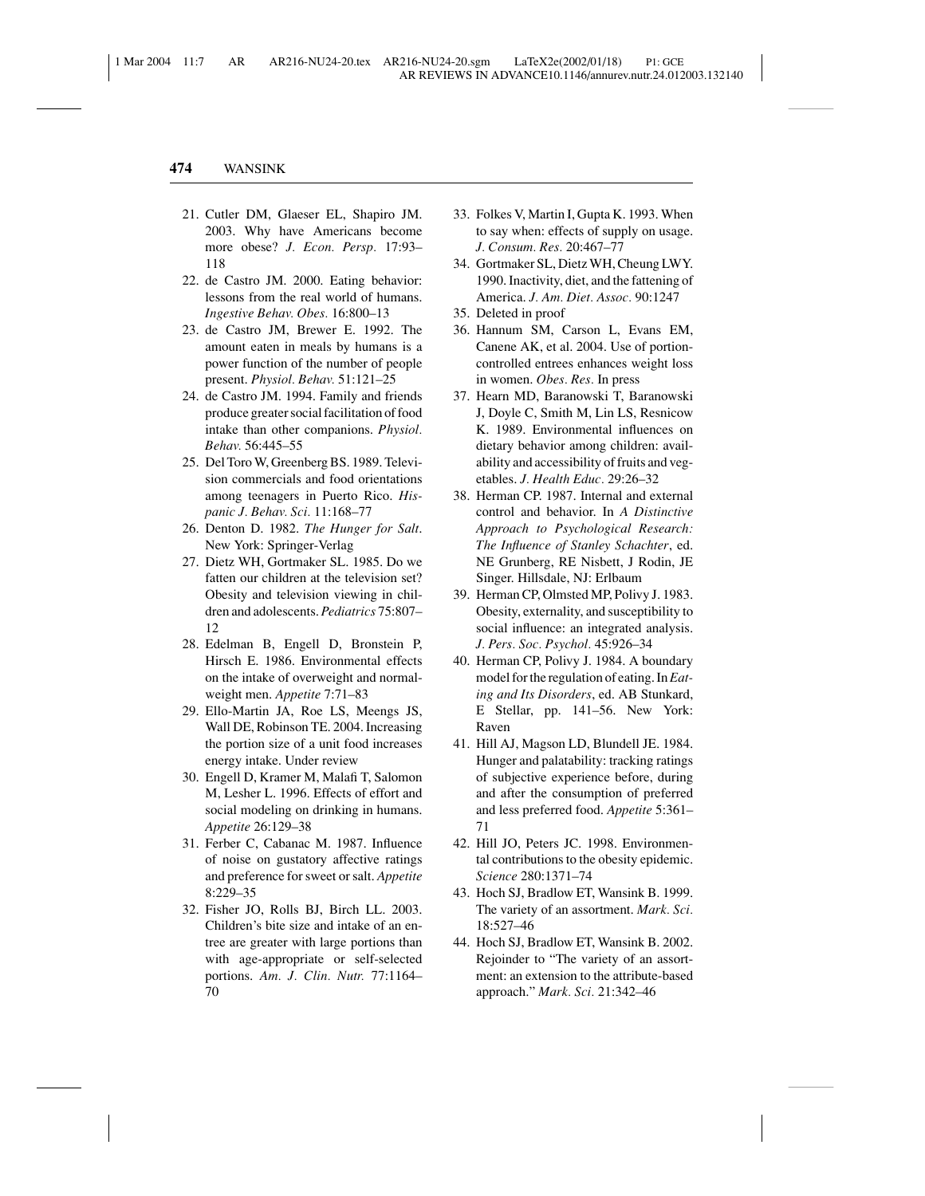- 21. Cutler DM, Glaeser EL, Shapiro JM. 2003. Why have Americans become more obese? *J. Econ. Persp.* 17:93– 118
- 22. de Castro JM. 2000. Eating behavior: lessons from the real world of humans. *Ingestive Behav. Obes.* 16:800–13
- 23. de Castro JM, Brewer E. 1992. The amount eaten in meals by humans is a power function of the number of people present. *Physiol. Behav.* 51:121–25
- 24. de Castro JM. 1994. Family and friends produce greater social facilitation of food intake than other companions. *Physiol. Behav.* 56:445–55
- 25. Del Toro W, Greenberg BS. 1989. Television commercials and food orientations among teenagers in Puerto Rico. *Hispanic J. Behav. Sci.* 11:168–77
- 26. Denton D. 1982. *The Hunger for Salt*. New York: Springer-Verlag
- 27. Dietz WH, Gortmaker SL. 1985. Do we fatten our children at the television set? Obesity and television viewing in children and adolescents. *Pediatrics* 75:807– 12
- 28. Edelman B, Engell D, Bronstein P, Hirsch E. 1986. Environmental effects on the intake of overweight and normalweight men. *Appetite* 7:71–83
- 29. Ello-Martin JA, Roe LS, Meengs JS, Wall DE, Robinson TE. 2004. Increasing the portion size of a unit food increases energy intake. Under review
- 30. Engell D, Kramer M, Malafi T, Salomon M, Lesher L. 1996. Effects of effort and social modeling on drinking in humans. *Appetite* 26:129–38
- 31. Ferber C, Cabanac M. 1987. Influence of noise on gustatory affective ratings and preference for sweet or salt. *Appetite* 8:229–35
- 32. Fisher JO, Rolls BJ, Birch LL. 2003. Children's bite size and intake of an entree are greater with large portions than with age-appropriate or self-selected portions. *Am. J. Clin. Nutr.* 77:1164– 70
- 33. Folkes V, Martin I, Gupta K. 1993. When to say when: effects of supply on usage. *J. Consum. Res.* 20:467–77
- 34. Gortmaker SL, Dietz WH, Cheung LWY. 1990. Inactivity, diet, and the fattening of America. *J. Am. Diet. Assoc.* 90:1247
- 35. Deleted in proof
- 36. Hannum SM, Carson L, Evans EM, Canene AK, et al. 2004. Use of portioncontrolled entrees enhances weight loss in women. *Obes. Res.* In press
- 37. Hearn MD, Baranowski T, Baranowski J, Doyle C, Smith M, Lin LS, Resnicow K. 1989. Environmental influences on dietary behavior among children: availability and accessibility of fruits and vegetables. *J. Health Educ.* 29:26–32
- 38. Herman CP. 1987. Internal and external control and behavior. In *A Distinctive Approach to Psychological Research: The Influence of Stanley Schachter*, ed. NE Grunberg, RE Nisbett, J Rodin, JE Singer. Hillsdale, NJ: Erlbaum
- 39. Herman CP, Olmsted MP, Polivy J. 1983. Obesity, externality, and susceptibility to social influence: an integrated analysis. *J. Pers. Soc. Psychol.* 45:926–34
- 40. Herman CP, Polivy J. 1984. A boundary model for the regulation of eating. In*Eating and Its Disorders*, ed. AB Stunkard, E Stellar, pp. 141–56. New York: Raven
- 41. Hill AJ, Magson LD, Blundell JE. 1984. Hunger and palatability: tracking ratings of subjective experience before, during and after the consumption of preferred and less preferred food. *Appetite* 5:361– 71
- 42. Hill JO, Peters JC. 1998. Environmental contributions to the obesity epidemic. *Science* 280:1371–74
- 43. Hoch SJ, Bradlow ET, Wansink B. 1999. The variety of an assortment. *Mark. Sci.* 18:527–46
- 44. Hoch SJ, Bradlow ET, Wansink B. 2002. Rejoinder to "The variety of an assortment: an extension to the attribute-based approach." *Mark. Sci.* 21:342–46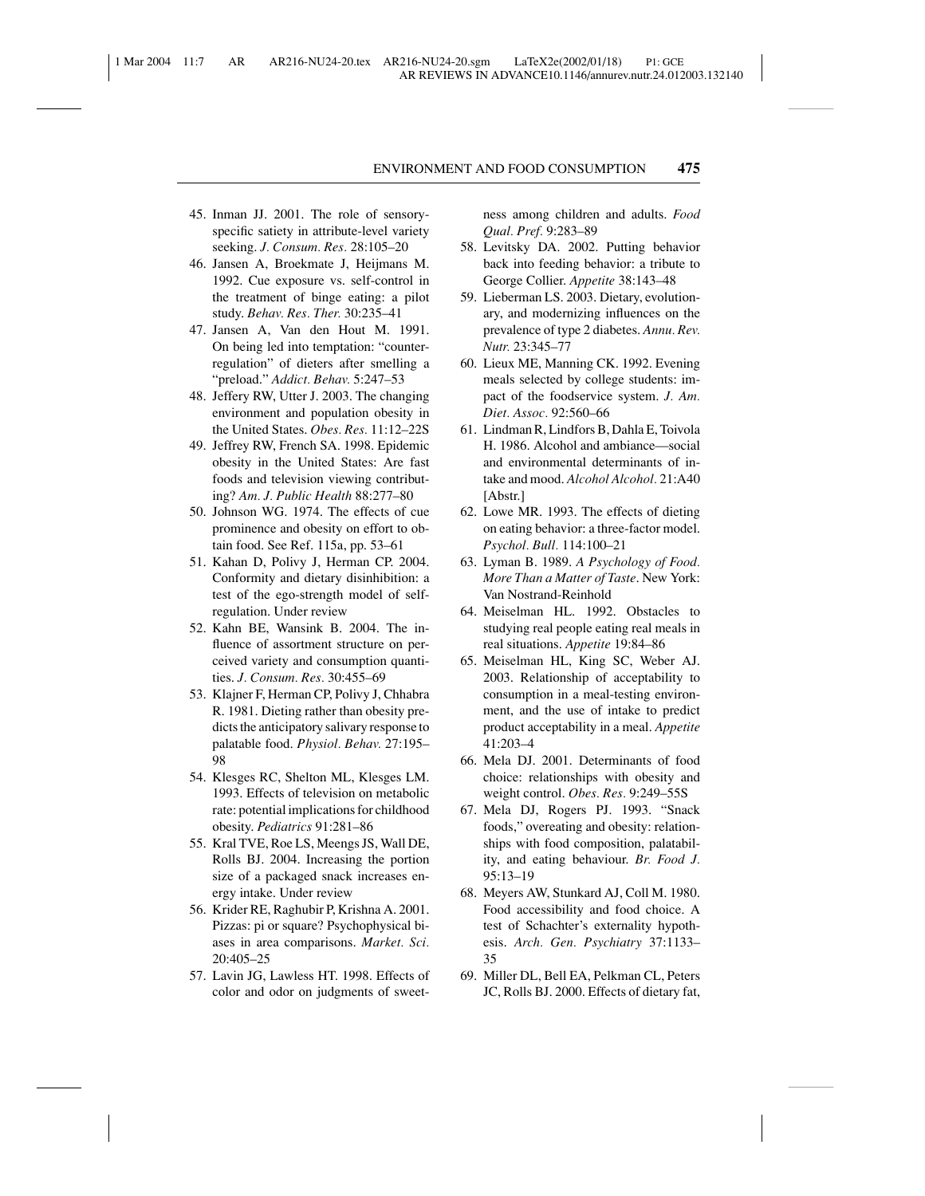- 45. Inman JJ. 2001. The role of sensoryspecific satiety in attribute-level variety seeking. *J. Consum. Res.* 28:105–20
- 46. Jansen A, Broekmate J, Heijmans M. 1992. Cue exposure vs. self-control in the treatment of binge eating: a pilot study. *Behav. Res. Ther.* 30:235–41
- 47. Jansen A, Van den Hout M. 1991. On being led into temptation: "counterregulation" of dieters after smelling a "preload." *Addict. Behav.* 5:247–53
- 48. Jeffery RW, Utter J. 2003. The changing environment and population obesity in the United States. *Obes. Res.* 11:12–22S
- 49. Jeffrey RW, French SA. 1998. Epidemic obesity in the United States: Are fast foods and television viewing contributing? *Am. J. Public Health* 88:277–80
- 50. Johnson WG. 1974. The effects of cue prominence and obesity on effort to obtain food. See Ref. 115a, pp. 53–61
- 51. Kahan D, Polivy J, Herman CP. 2004. Conformity and dietary disinhibition: a test of the ego-strength model of selfregulation. Under review
- 52. Kahn BE, Wansink B. 2004. The influence of assortment structure on perceived variety and consumption quantities. *J. Consum. Res.* 30:455–69
- 53. Klajner F, Herman CP, Polivy J, Chhabra R. 1981. Dieting rather than obesity predicts the anticipatory salivary response to palatable food. *Physiol. Behav.* 27:195– 98
- 54. Klesges RC, Shelton ML, Klesges LM. 1993. Effects of television on metabolic rate: potential implications for childhood obesity. *Pediatrics* 91:281–86
- 55. Kral TVE, Roe LS, Meengs JS, Wall DE, Rolls BJ. 2004. Increasing the portion size of a packaged snack increases energy intake. Under review
- 56. Krider RE, Raghubir P, Krishna A. 2001. Pizzas: pi or square? Psychophysical biases in area comparisons. *Market. Sci.* 20:405–25
- 57. Lavin JG, Lawless HT. 1998. Effects of color and odor on judgments of sweet-

ness among children and adults. *Food Qual. Pref.* 9:283–89

- 58. Levitsky DA. 2002. Putting behavior back into feeding behavior: a tribute to George Collier. *Appetite* 38:143–48
- 59. Lieberman LS. 2003. Dietary, evolutionary, and modernizing influences on the prevalence of type 2 diabetes. *Annu. Rev. Nutr.* 23:345–77
- 60. Lieux ME, Manning CK. 1992. Evening meals selected by college students: impact of the foodservice system. *J. Am. Diet. Assoc.* 92:560–66
- 61. Lindman R, Lindfors B, Dahla E, Toivola H. 1986. Alcohol and ambiance—social and environmental determinants of intake and mood. *Alcohol Alcohol.* 21:A40 [Abstr.]
- 62. Lowe MR. 1993. The effects of dieting on eating behavior: a three-factor model. *Psychol. Bull.* 114:100–21
- 63. Lyman B. 1989. *A Psychology of Food. More Than a Matter of Taste*. New York: Van Nostrand-Reinhold
- 64. Meiselman HL. 1992. Obstacles to studying real people eating real meals in real situations. *Appetite* 19:84–86
- 65. Meiselman HL, King SC, Weber AJ. 2003. Relationship of acceptability to consumption in a meal-testing environment, and the use of intake to predict product acceptability in a meal. *Appetite* 41:203–4
- 66. Mela DJ. 2001. Determinants of food choice: relationships with obesity and weight control. *Obes. Res.* 9:249–55S
- 67. Mela DJ, Rogers PJ. 1993. "Snack foods," overeating and obesity: relationships with food composition, palatability, and eating behaviour. *Br. Food J.* 95:13–19
- 68. Meyers AW, Stunkard AJ, Coll M. 1980. Food accessibility and food choice. A test of Schachter's externality hypothesis. *Arch. Gen. Psychiatry* 37:1133– 35
- 69. Miller DL, Bell EA, Pelkman CL, Peters JC, Rolls BJ. 2000. Effects of dietary fat,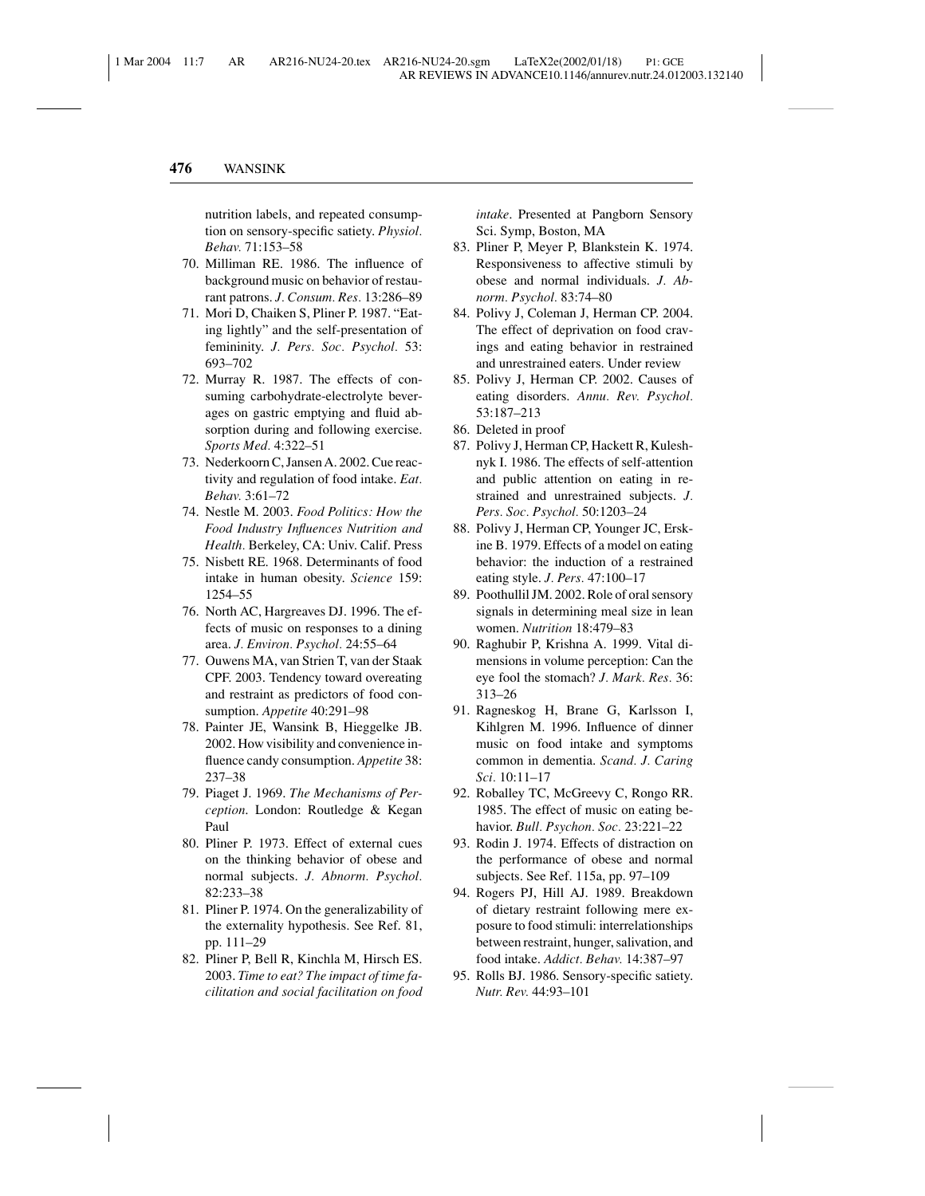nutrition labels, and repeated consumption on sensory-specific satiety. *Physiol. Behav.* 71:153–58

- 70. Milliman RE. 1986. The influence of background music on behavior of restaurant patrons. *J. Consum. Res.* 13:286–89
- 71. Mori D, Chaiken S, Pliner P. 1987. "Eating lightly" and the self-presentation of femininity. *J. Pers. Soc. Psychol.* 53: 693–702
- 72. Murray R. 1987. The effects of consuming carbohydrate-electrolyte beverages on gastric emptying and fluid absorption during and following exercise. *Sports Med.* 4:322–51
- 73. Nederkoorn C, Jansen A. 2002. Cue reactivity and regulation of food intake. *Eat. Behav.* 3:61–72
- 74. Nestle M. 2003. *Food Politics: How the Food Industry Influences Nutrition and Health.* Berkeley, CA: Univ. Calif. Press
- 75. Nisbett RE. 1968. Determinants of food intake in human obesity. *Science* 159: 1254–55
- 76. North AC, Hargreaves DJ. 1996. The effects of music on responses to a dining area. *J. Environ. Psychol.* 24:55–64
- 77. Ouwens MA, van Strien T, van der Staak CPF. 2003. Tendency toward overeating and restraint as predictors of food consumption. *Appetite* 40:291–98
- 78. Painter JE, Wansink B, Hieggelke JB. 2002. How visibility and convenience influence candy consumption. *Appetite* 38: 237–38
- 79. Piaget J. 1969. *The Mechanisms of Perception*. London: Routledge & Kegan Paul
- 80. Pliner P. 1973. Effect of external cues on the thinking behavior of obese and normal subjects. *J. Abnorm. Psychol.* 82:233–38
- 81. Pliner P. 1974. On the generalizability of the externality hypothesis. See Ref. 81, pp. 111–29
- 82. Pliner P, Bell R, Kinchla M, Hirsch ES. 2003. *Time to eat? The impact of time facilitation and social facilitation on food*

*intake*. Presented at Pangborn Sensory Sci. Symp, Boston, MA

- 83. Pliner P, Meyer P, Blankstein K. 1974. Responsiveness to affective stimuli by obese and normal individuals. *J. Abnorm. Psychol.* 83:74–80
- 84. Polivy J, Coleman J, Herman CP. 2004. The effect of deprivation on food cravings and eating behavior in restrained and unrestrained eaters. Under review
- 85. Polivy J, Herman CP. 2002. Causes of eating disorders. *Annu. Rev. Psychol.* 53:187–213
- 86. Deleted in proof
- 87. Polivy J, Herman CP, Hackett R, Kuleshnyk I. 1986. The effects of self-attention and public attention on eating in restrained and unrestrained subjects. *J. Pers. Soc. Psychol.* 50:1203–24
- 88. Polivy J, Herman CP, Younger JC, Erskine B. 1979. Effects of a model on eating behavior: the induction of a restrained eating style. *J. Pers.* 47:100–17
- 89. Poothullil JM. 2002. Role of oral sensory signals in determining meal size in lean women. *Nutrition* 18:479–83
- 90. Raghubir P, Krishna A. 1999. Vital dimensions in volume perception: Can the eye fool the stomach? *J. Mark. Res.* 36: 313–26
- 91. Ragneskog H, Brane G, Karlsson I, Kihlgren M. 1996. Influence of dinner music on food intake and symptoms common in dementia. *Scand. J. Caring Sci.* 10:11–17
- 92. Roballey TC, McGreevy C, Rongo RR. 1985. The effect of music on eating behavior. *Bull. Psychon. Soc.* 23:221–22
- 93. Rodin J. 1974. Effects of distraction on the performance of obese and normal subjects. See Ref. 115a, pp. 97–109
- 94. Rogers PJ, Hill AJ. 1989. Breakdown of dietary restraint following mere exposure to food stimuli: interrelationships between restraint, hunger, salivation, and food intake. *Addict. Behav.* 14:387–97
- 95. Rolls BJ. 1986. Sensory-specific satiety. *Nutr. Rev.* 44:93–101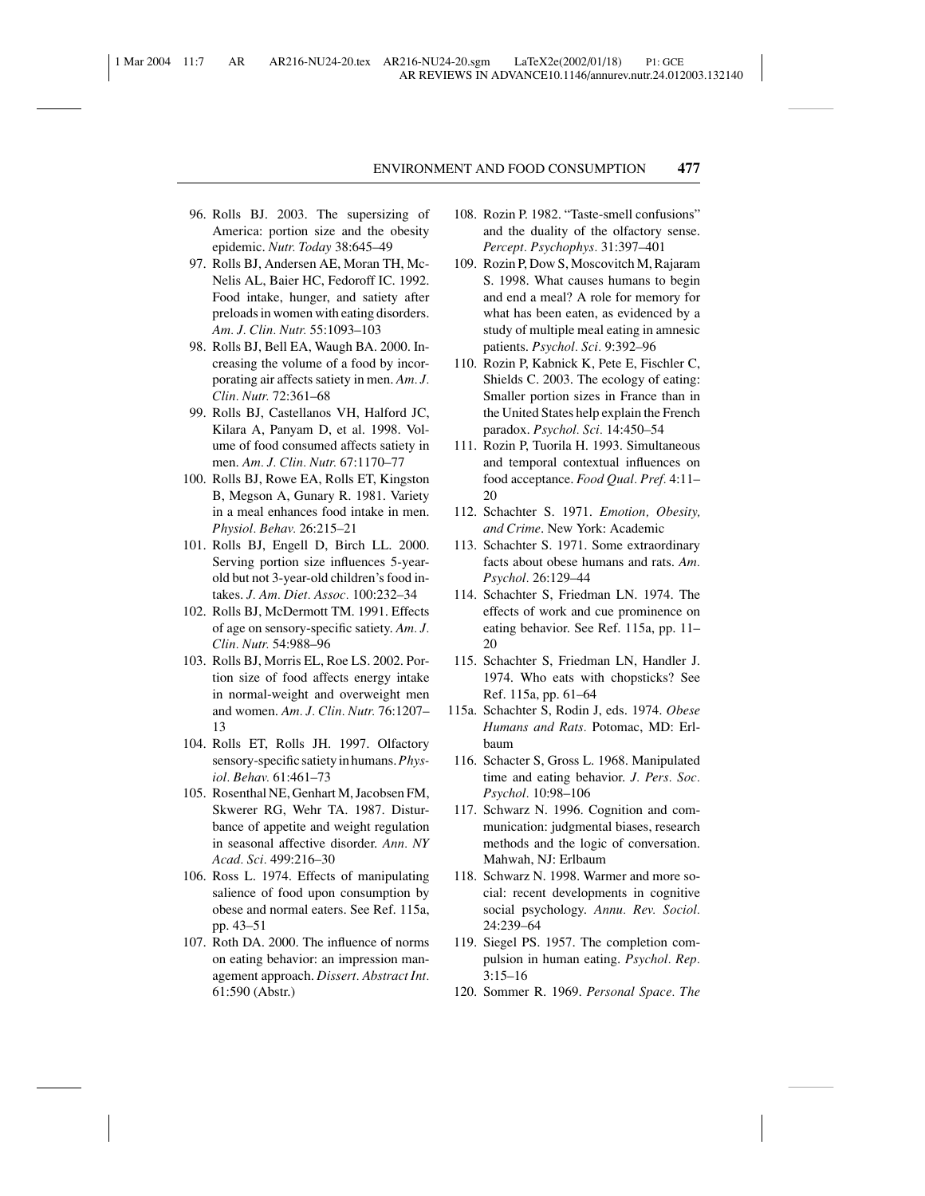- 96. Rolls BJ. 2003. The supersizing of America: portion size and the obesity epidemic. *Nutr. Today* 38:645–49
- 97. Rolls BJ, Andersen AE, Moran TH, Mc-Nelis AL, Baier HC, Fedoroff IC. 1992. Food intake, hunger, and satiety after preloads in women with eating disorders. *Am. J. Clin. Nutr.* 55:1093–103
- 98. Rolls BJ, Bell EA, Waugh BA. 2000. Increasing the volume of a food by incorporating air affects satiety in men. *Am. J. Clin. Nutr.* 72:361–68
- 99. Rolls BJ, Castellanos VH, Halford JC, Kilara A, Panyam D, et al. 1998. Volume of food consumed affects satiety in men. *Am. J. Clin. Nutr.* 67:1170–77
- 100. Rolls BJ, Rowe EA, Rolls ET, Kingston B, Megson A, Gunary R. 1981. Variety in a meal enhances food intake in men. *Physiol. Behav.* 26:215–21
- 101. Rolls BJ, Engell D, Birch LL. 2000. Serving portion size influences 5-yearold but not 3-year-old children's food intakes. *J. Am. Diet. Assoc.* 100:232–34
- 102. Rolls BJ, McDermott TM. 1991. Effects of age on sensory-specific satiety. *Am. J. Clin. Nutr.* 54:988–96
- 103. Rolls BJ, Morris EL, Roe LS. 2002. Portion size of food affects energy intake in normal-weight and overweight men and women. *Am. J. Clin. Nutr.* 76:1207– 13
- 104. Rolls ET, Rolls JH. 1997. Olfactory sensory-specific satiety in humans.*Physiol. Behav.* 61:461–73
- 105. Rosenthal NE, Genhart M, Jacobsen FM, Skwerer RG, Wehr TA. 1987. Disturbance of appetite and weight regulation in seasonal affective disorder. *Ann. NY Acad. Sci.* 499:216–30
- 106. Ross L. 1974. Effects of manipulating salience of food upon consumption by obese and normal eaters. See Ref. 115a, pp. 43–51
- 107. Roth DA. 2000. The influence of norms on eating behavior: an impression management approach. *Dissert. Abstract Int.* 61:590 (Abstr.)
- 108. Rozin P. 1982. "Taste-smell confusions" and the duality of the olfactory sense. *Percept. Psychophys.* 31:397–401
- 109. Rozin P, Dow S, Moscovitch M, Rajaram S. 1998. What causes humans to begin and end a meal? A role for memory for what has been eaten, as evidenced by a study of multiple meal eating in amnesic patients. *Psychol. Sci.* 9:392–96
- 110. Rozin P, Kabnick K, Pete E, Fischler C, Shields C. 2003. The ecology of eating: Smaller portion sizes in France than in the United States help explain the French paradox. *Psychol. Sci.* 14:450–54
- 111. Rozin P, Tuorila H. 1993. Simultaneous and temporal contextual influences on food acceptance. *Food Qual. Pref.* 4:11– 20
- 112. Schachter S. 1971. *Emotion, Obesity, and Crime*. New York: Academic
- 113. Schachter S. 1971. Some extraordinary facts about obese humans and rats. *Am. Psychol.* 26:129–44
- 114. Schachter S, Friedman LN. 1974. The effects of work and cue prominence on eating behavior. See Ref. 115a, pp. 11– 20
- 115. Schachter S, Friedman LN, Handler J. 1974. Who eats with chopsticks? See Ref. 115a, pp. 61–64
- 115a. Schachter S, Rodin J, eds. 1974. *Obese Humans and Rats.* Potomac, MD: Erlbaum
- 116. Schacter S, Gross L. 1968. Manipulated time and eating behavior. *J. Pers. Soc. Psychol.* 10:98–106
- 117. Schwarz N. 1996. Cognition and communication: judgmental biases, research methods and the logic of conversation. Mahwah, NJ: Erlbaum
- 118. Schwarz N. 1998. Warmer and more social: recent developments in cognitive social psychology. *Annu. Rev. Sociol.* 24:239–64
- 119. Siegel PS. 1957. The completion compulsion in human eating. *Psychol. Rep.* 3:15–16
- 120. Sommer R. 1969. *Personal Space. The*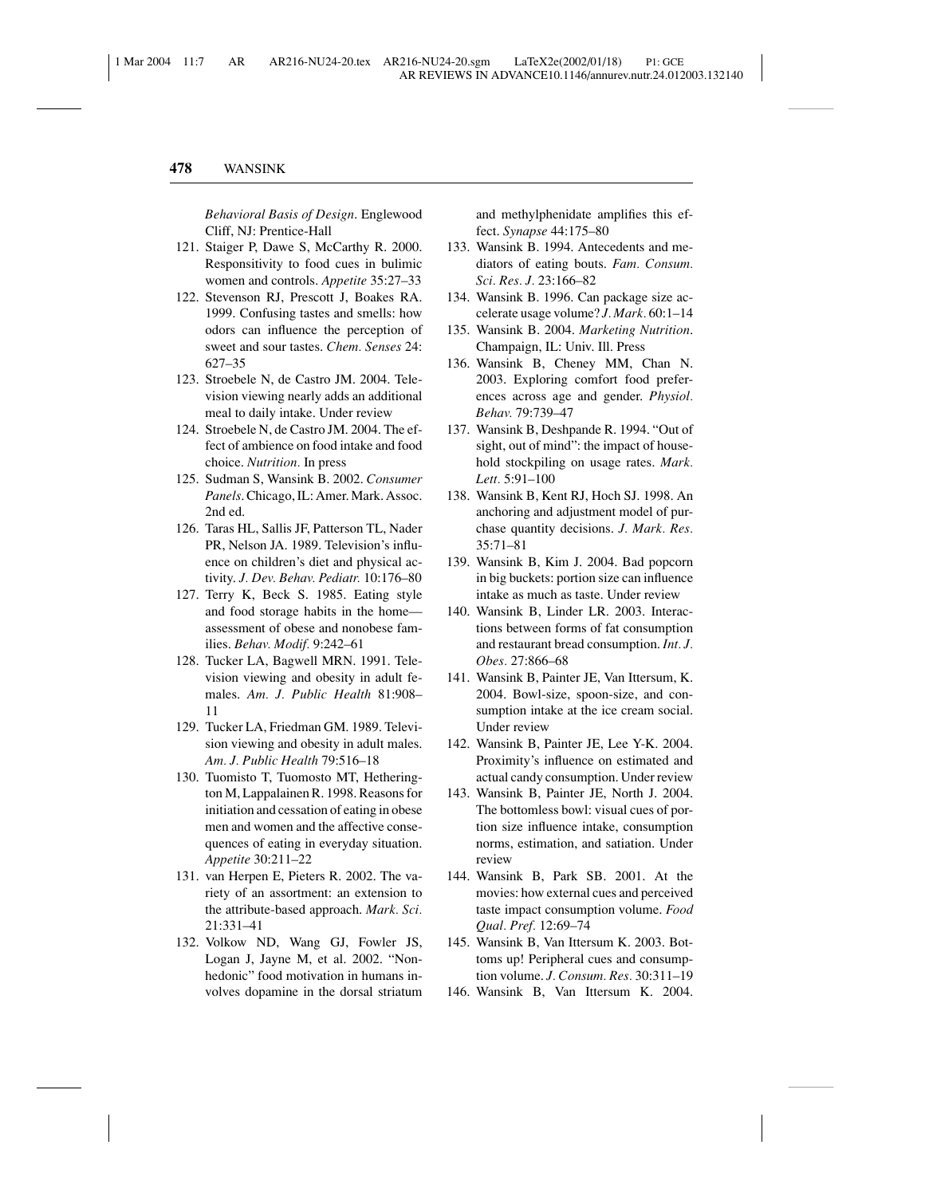*Behavioral Basis of Design*. Englewood Cliff, NJ: Prentice-Hall

- 121. Staiger P, Dawe S, McCarthy R. 2000. Responsitivity to food cues in bulimic women and controls. *Appetite* 35:27–33
- 122. Stevenson RJ, Prescott J, Boakes RA. 1999. Confusing tastes and smells: how odors can influence the perception of sweet and sour tastes. *Chem. Senses* 24: 627–35
- 123. Stroebele N, de Castro JM. 2004. Television viewing nearly adds an additional meal to daily intake. Under review
- 124. Stroebele N, de Castro JM. 2004. The effect of ambience on food intake and food choice. *Nutrition.* In press
- 125. Sudman S, Wansink B. 2002. *Consumer Panels*. Chicago, IL: Amer. Mark. Assoc. 2nd ed.
- 126. Taras HL, Sallis JF, Patterson TL, Nader PR, Nelson JA. 1989. Television's influence on children's diet and physical activity. *J. Dev. Behav. Pediatr.* 10:176–80
- 127. Terry K, Beck S. 1985. Eating style and food storage habits in the home assessment of obese and nonobese families. *Behav. Modif.* 9:242–61
- 128. Tucker LA, Bagwell MRN. 1991. Television viewing and obesity in adult females. *Am. J. Public Health* 81:908– 11
- 129. Tucker LA, Friedman GM. 1989. Television viewing and obesity in adult males. *Am. J. Public Health* 79:516–18
- 130. Tuomisto T, Tuomosto MT, Hetherington M, Lappalainen R. 1998. Reasons for initiation and cessation of eating in obese men and women and the affective consequences of eating in everyday situation. *Appetite* 30:211–22
- 131. van Herpen E, Pieters R. 2002. The variety of an assortment: an extension to the attribute-based approach. *Mark. Sci.* 21:331–41
- 132. Volkow ND, Wang GJ, Fowler JS, Logan J, Jayne M, et al. 2002. "Nonhedonic" food motivation in humans involves dopamine in the dorsal striatum

and methylphenidate amplifies this effect. *Synapse* 44:175–80

- 133. Wansink B. 1994. Antecedents and mediators of eating bouts. *Fam. Consum. Sci. Res. J.* 23:166–82
- 134. Wansink B. 1996. Can package size accelerate usage volume? *J. Mark.* 60:1–14
- 135. Wansink B. 2004. *Marketing Nutrition*. Champaign, IL: Univ. Ill. Press
- 136. Wansink B, Cheney MM, Chan N. 2003. Exploring comfort food preferences across age and gender. *Physiol. Behav.* 79:739–47
- 137. Wansink B, Deshpande R. 1994. "Out of sight, out of mind": the impact of household stockpiling on usage rates. *Mark. Lett.* 5:91–100
- 138. Wansink B, Kent RJ, Hoch SJ. 1998. An anchoring and adjustment model of purchase quantity decisions. *J. Mark. Res.* 35:71–81
- 139. Wansink B, Kim J. 2004. Bad popcorn in big buckets: portion size can influence intake as much as taste. Under review
- 140. Wansink B, Linder LR. 2003. Interactions between forms of fat consumption and restaurant bread consumption. *Int. J. Obes.* 27:866–68
- 141. Wansink B, Painter JE, Van Ittersum, K. 2004. Bowl-size, spoon-size, and consumption intake at the ice cream social. Under review
- 142. Wansink B, Painter JE, Lee Y-K. 2004. Proximity's influence on estimated and actual candy consumption. Under review
- 143. Wansink B, Painter JE, North J. 2004. The bottomless bowl: visual cues of portion size influence intake, consumption norms, estimation, and satiation. Under review
- 144. Wansink B, Park SB. 2001. At the movies: how external cues and perceived taste impact consumption volume. *Food Qual. Pref.* 12:69–74
- 145. Wansink B, Van Ittersum K. 2003. Bottoms up! Peripheral cues and consumption volume. *J. Consum. Res.* 30:311–19
- 146. Wansink B, Van Ittersum K. 2004.